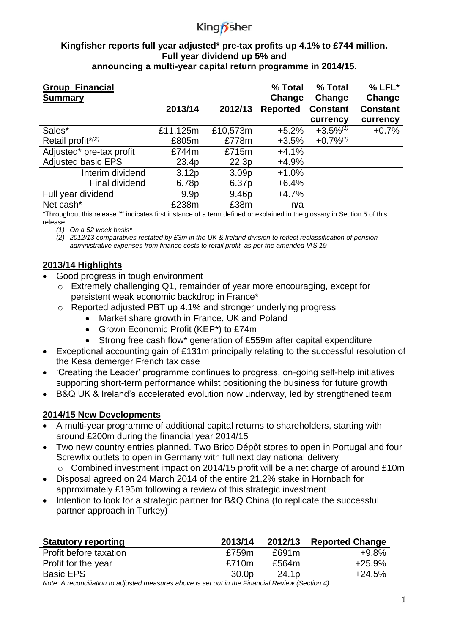## King*r*isher

#### **Kingfisher reports full year adjusted\* pre-tax profits up 4.1% to £744 million. Full year dividend up 5% and announcing a multi-year capital return programme in 2014/15.**

| <b>Group Financial</b><br><b>Summary</b> |                   |                   | % Total<br>Change | % Total<br>Change | $%$ LFL*<br>Change |
|------------------------------------------|-------------------|-------------------|-------------------|-------------------|--------------------|
|                                          | 2013/14           | 2012/13           | <b>Reported</b>   | <b>Constant</b>   | <b>Constant</b>    |
|                                          |                   |                   |                   | currency          | currency           |
| Sales*                                   | £11,125m          | £10,573m          | $+5.2%$           | $+3.5\%^{(1)}$    | $+0.7%$            |
| Retail profit <sup>*(2)</sup>            | £805m             | £778m             | $+3.5%$           | $+0.7\%^{(1)}$    |                    |
| Adjusted* pre-tax profit                 | £744m             | £715m             | $+4.1%$           |                   |                    |
| <b>Adjusted basic EPS</b>                | 23.4p             | 22.3p             | $+4.9%$           |                   |                    |
| Interim dividend                         | 3.12 <sub>p</sub> | 3.09 <sub>p</sub> | $+1.0%$           |                   |                    |
| <b>Final dividend</b>                    | 6.78p             | 6.37p             | $+6.4%$           |                   |                    |
| Full year dividend                       | 9.9 <sub>p</sub>  | 9.46 <sub>p</sub> | $+4.7%$           |                   |                    |
| Net cash*                                | £238m             | £38m              | n/a               |                   |                    |

\*Throughout this release '\*' indicates first instance of a term defined or explained in the glossary in Section 5 of this release.

*(1) On a 52 week basis\**

*(2) 2012/13 comparatives restated by £3m in the UK & Ireland division to reflect reclassification of pension administrative expenses from finance costs to retail profit, as per the amended IAS 19*

### **2013/14 Highlights**

- Good progress in tough environment
	- o Extremely challenging Q1, remainder of year more encouraging, except for persistent weak economic backdrop in France\*
	- o Reported adjusted PBT up 4.1% and stronger underlying progress
		- Market share growth in France, UK and Poland
		- Grown Economic Profit (KEP\*) to £74m
		- Strong free cash flow\* generation of £559m after capital expenditure
- Exceptional accounting gain of £131m principally relating to the successful resolution of the Kesa demerger French tax case
- 'Creating the Leader' programme continues to progress, on-going self-help initiatives supporting short-term performance whilst positioning the business for future growth
- B&Q UK & Ireland's accelerated evolution now underway, led by strengthened team

### **2014/15 New Developments**

- A multi-year programme of additional capital returns to shareholders, starting with around £200m during the financial year 2014/15
- Two new country entries planned. Two Brico Dépôt stores to open in Portugal and four Screwfix outlets to open in Germany with full next day national delivery
	- o Combined investment impact on 2014/15 profit will be a net charge of around £10m
- Disposal agreed on 24 March 2014 of the entire 21.2% stake in Hornbach for approximately £195m following a review of this strategic investment
- Intention to look for a strategic partner for B&Q China (to replicate the successful partner approach in Turkey)

| <b>Statutory reporting</b> | 2013/14           |                   | 2012/13 Reported Change |
|----------------------------|-------------------|-------------------|-------------------------|
| Profit before taxation     | £759m             | £691m             | $+9.8%$                 |
| Profit for the year        | £710m             | £564m             | +25.9%                  |
| <b>Basic EPS</b>           | 30.0 <sub>p</sub> | 24.1 <sub>p</sub> | +24.5%                  |
|                            |                   |                   |                         |

*Note: A reconciliation to adjusted measures above is set out in the Financial Review (Section 4).*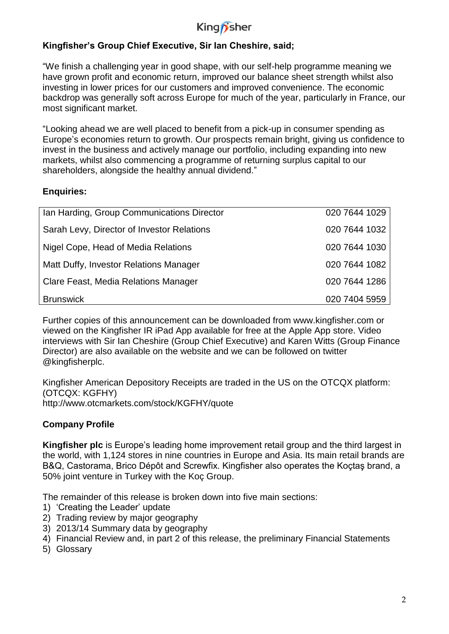## King*n* sher

### **Kingfisher's Group Chief Executive, Sir Ian Cheshire, said;**

"We finish a challenging year in good shape, with our self-help programme meaning we have grown profit and economic return, improved our balance sheet strength whilst also investing in lower prices for our customers and improved convenience. The economic backdrop was generally soft across Europe for much of the year, particularly in France, our most significant market.

"Looking ahead we are well placed to benefit from a pick-up in consumer spending as Europe's economies return to growth. Our prospects remain bright, giving us confidence to invest in the business and actively manage our portfolio, including expanding into new markets, whilst also commencing a programme of returning surplus capital to our shareholders, alongside the healthy annual dividend."

### **Enquiries:**

| Ian Harding, Group Communications Director | 020 7644 1029 |
|--------------------------------------------|---------------|
| Sarah Levy, Director of Investor Relations | 020 7644 1032 |
| Nigel Cope, Head of Media Relations        | 020 7644 1030 |
| Matt Duffy, Investor Relations Manager     | 020 7644 1082 |
| Clare Feast, Media Relations Manager       | 020 7644 1286 |
| <b>Brunswick</b>                           | 020 7404 5959 |

Further copies of this announcement can be downloaded from www.kingfisher.com or viewed on the Kingfisher IR iPad App available for free at the Apple App store. Video interviews with Sir Ian Cheshire (Group Chief Executive) and Karen Witts (Group Finance Director) are also available on the website and we can be followed on twitter @kingfisherplc.

Kingfisher American Depository Receipts are traded in the US on the OTCQX platform: (OTCQX: KGFHY) http://www.otcmarkets.com/stock/KGFHY/quote

### **Company Profile**

**Kingfisher plc** is Europe's leading home improvement retail group and the third largest in the world, with 1,124 stores in nine countries in Europe and Asia. Its main retail brands are B&Q, Castorama, Brico Dépôt and Screwfix. Kingfisher also operates the Koçtaş brand, a 50% joint venture in Turkey with the Koç Group.

The remainder of this release is broken down into five main sections:

- 1) 'Creating the Leader' update
- 2) Trading review by major geography
- 3) 2013/14 Summary data by geography
- 4) Financial Review and, in part 2 of this release, the preliminary Financial Statements
- 5) Glossary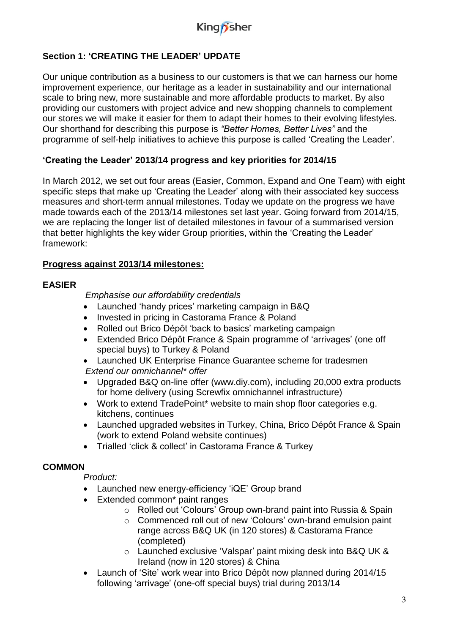

## **Section 1: 'CREATING THE LEADER' UPDATE**

Our unique contribution as a business to our customers is that we can harness our home improvement experience, our heritage as a leader in sustainability and our international scale to bring new, more sustainable and more affordable products to market. By also providing our customers with project advice and new shopping channels to complement our stores we will make it easier for them to adapt their homes to their evolving lifestyles. Our shorthand for describing this purpose is *"Better Homes, Better Lives"* and the programme of self-help initiatives to achieve this purpose is called 'Creating the Leader'.

#### **'Creating the Leader' 2013/14 progress and key priorities for 2014/15**

In March 2012, we set out four areas (Easier, Common, Expand and One Team) with eight specific steps that make up 'Creating the Leader' along with their associated key success measures and short-term annual milestones. Today we update on the progress we have made towards each of the 2013/14 milestones set last year. Going forward from 2014/15, we are replacing the longer list of detailed milestones in favour of a summarised version that better highlights the key wider Group priorities, within the 'Creating the Leader' framework:

#### **Progress against 2013/14 milestones:**

#### **EASIER**

*Emphasise our affordability credentials*

- Launched 'handy prices' marketing campaign in B&Q
- Invested in pricing in Castorama France & Poland
- Rolled out Brico Dépôt 'back to basics' marketing campaign
- Extended Brico Dépôt France & Spain programme of 'arrivages' (one off special buys) to Turkey & Poland
- Launched UK Enterprise Finance Guarantee scheme for tradesmen *Extend our omnichannel\* offer*
- Upgraded B&Q on-line offer (www.diy.com), including 20,000 extra products for home delivery (using Screwfix omnichannel infrastructure)
- Work to extend TradePoint\* website to main shop floor categories e.g. kitchens, continues
- Launched upgraded websites in Turkey, China, Brico Dépôt France & Spain (work to extend Poland website continues)
- Trialled 'click & collect' in Castorama France & Turkey

#### **COMMON**

*Product:*

- Launched new energy-efficiency 'iQE' Group brand
- Extended common\* paint ranges
	- o Rolled out 'Colours' Group own-brand paint into Russia & Spain
	- o Commenced roll out of new 'Colours' own-brand emulsion paint range across B&Q UK (in 120 stores) & Castorama France (completed)
	- o Launched exclusive 'Valspar' paint mixing desk into B&Q UK & Ireland (now in 120 stores) & China
- Launch of 'Site' work wear into Brico Dépôt now planned during 2014/15 following 'arrivage' (one-off special buys) trial during 2013/14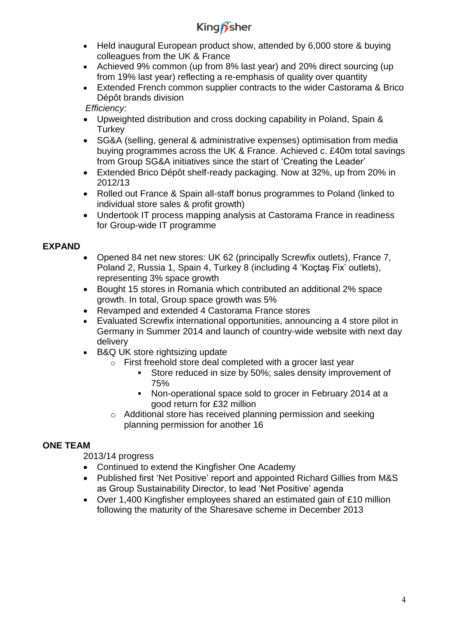

- Held inaugural European product show, attended by 6,000 store & buying colleagues from the UK & France
- Achieved 9% common (up from 8% last year) and 20% direct sourcing (up from 19% last year) reflecting a re-emphasis of quality over quantity
- Extended French common supplier contracts to the wider Castorama & Brico Dépôt brands division

*Efficiency:*

- Upweighted distribution and cross docking capability in Poland, Spain & **Turkey**
- SG&A (selling, general & administrative expenses) optimisation from media buying programmes across the UK & France. Achieved c. £40m total savings from Group SG&A initiatives since the start of 'Creating the Leader'
- Extended Brico Dépôt shelf-ready packaging. Now at 32%, up from 20% in 2012/13
- Rolled out France & Spain all-staff bonus programmes to Poland (linked to individual store sales & profit growth)
- Undertook IT process mapping analysis at Castorama France in readiness for Group-wide IT programme

### **EXPAND**

- Opened 84 net new stores: UK 62 (principally Screwfix outlets), France 7, Poland 2, Russia 1, Spain 4, Turkey 8 (including 4 'Koçtaş Fix' outlets), representing 3% space growth
- Bought 15 stores in Romania which contributed an additional 2% space growth. In total, Group space growth was 5%
- Revamped and extended 4 Castorama France stores
- Evaluated Screwfix international opportunities, announcing a 4 store pilot in Germany in Summer 2014 and launch of country-wide website with next day delivery
- B&Q UK store rightsizing update
	- $\circ$  First freehold store deal completed with a grocer last year
		- Store reduced in size by 50%; sales density improvement of 75%
		- Non-operational space sold to grocer in February 2014 at a good return for £32 million
	- o Additional store has received planning permission and seeking planning permission for another 16

## **ONE TEAM**

2013/14 progress

- Continued to extend the Kingfisher One Academy
- Published first 'Net Positive' report and appointed Richard Gillies from M&S as Group Sustainability Director, to lead 'Net Positive' agenda
- Over 1,400 Kingfisher employees shared an estimated gain of £10 million following the maturity of the Sharesave scheme in December 2013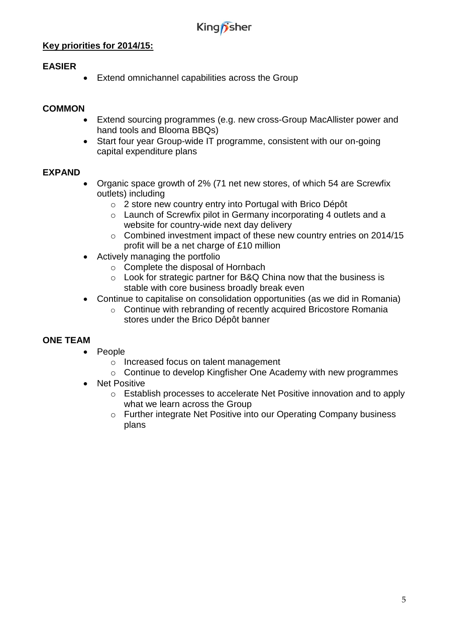### **Key priorities for 2014/15:**

#### **EASIER**

Extend omnichannel capabilities across the Group

#### **COMMON**

- Extend sourcing programmes (e.g. new cross-Group MacAllister power and hand tools and Blooma BBQs)
- Start four year Group-wide IT programme, consistent with our on-going capital expenditure plans

#### **EXPAND**

- Organic space growth of 2% (71 net new stores, of which 54 are Screwfix outlets) including
	- o 2 store new country entry into Portugal with Brico Dépôt
	- o Launch of Screwfix pilot in Germany incorporating 4 outlets and a website for country-wide next day delivery
	- o Combined investment impact of these new country entries on 2014/15 profit will be a net charge of £10 million
- Actively managing the portfolio
	- o Complete the disposal of Hornbach
	- $\circ$  Look for strategic partner for B&Q China now that the business is stable with core business broadly break even
- Continue to capitalise on consolidation opportunities (as we did in Romania)
	- o Continue with rebranding of recently acquired Bricostore Romania stores under the Brico Dépôt banner

### **ONE TEAM**

- People
	- o Increased focus on talent management
	- o Continue to develop Kingfisher One Academy with new programmes
- Net Positive
	- o Establish processes to accelerate Net Positive innovation and to apply what we learn across the Group
	- o Further integrate Net Positive into our Operating Company business plans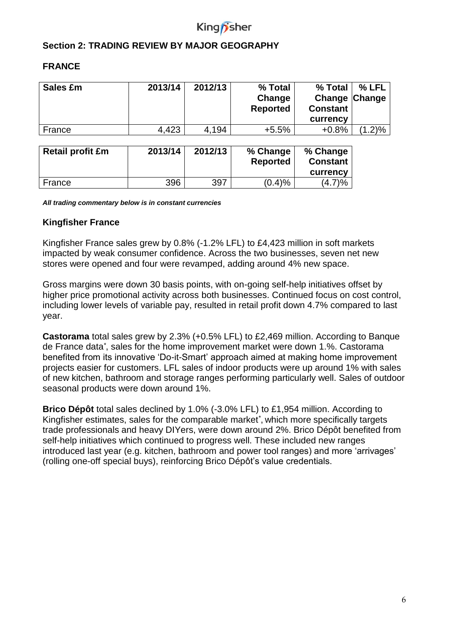### **Section 2: TRADING REVIEW BY MAJOR GEOGRAPHY**

#### **FRANCE**

| Sales £m | 2013/14 | 2012/13 | % Total<br>Change<br><b>Reported</b> | % Total<br><b>Change Change</b><br><b>Constant</b><br>currency | % LFL     |
|----------|---------|---------|--------------------------------------|----------------------------------------------------------------|-----------|
| France   | 4,423   | 4,194   | $+5.5\%$                             | $+0.8%$                                                        | $(1.2)\%$ |
|          |         |         |                                      |                                                                |           |

| Retail profit £m | 2013/14 | 2012/13 | % Change<br>Reported | % Change<br><b>Constant</b><br>currency |
|------------------|---------|---------|----------------------|-----------------------------------------|
| France           | 396     | 397     | $(0.4)$ %            | (4.7)%                                  |

*All trading commentary below is in constant currencies*

#### **Kingfisher France**

Kingfisher France sales grew by 0.8% (-1.2% LFL) to £4,423 million in soft markets impacted by weak consumer confidence. Across the two businesses, seven net new stores were opened and four were revamped, adding around 4% new space.

Gross margins were down 30 basis points, with on-going self-help initiatives offset by higher price promotional activity across both businesses. Continued focus on cost control, including lower levels of variable pay, resulted in retail profit down 4.7% compared to last year.

**Castorama** total sales grew by 2.3% (+0.5% LFL) to £2,469 million. According to Banque de France data*\** , sales for the home improvement market were down 1.%. Castorama benefited from its innovative 'Do-it-Smart' approach aimed at making home improvement projects easier for customers. LFL sales of indoor products were up around 1% with sales of new kitchen, bathroom and storage ranges performing particularly well. Sales of outdoor seasonal products were down around 1%.

**Brico Dépôt** total sales declined by 1.0% (-3.0% LFL) to £1,954 million. According to Kingfisher estimates, sales for the comparable market*\** , which more specifically targets trade professionals and heavy DIYers, were down around 2%. Brico Dépôt benefited from self-help initiatives which continued to progress well. These included new ranges introduced last year (e.g. kitchen, bathroom and power tool ranges) and more 'arrivages' (rolling one-off special buys), reinforcing Brico Dépôt's value credentials.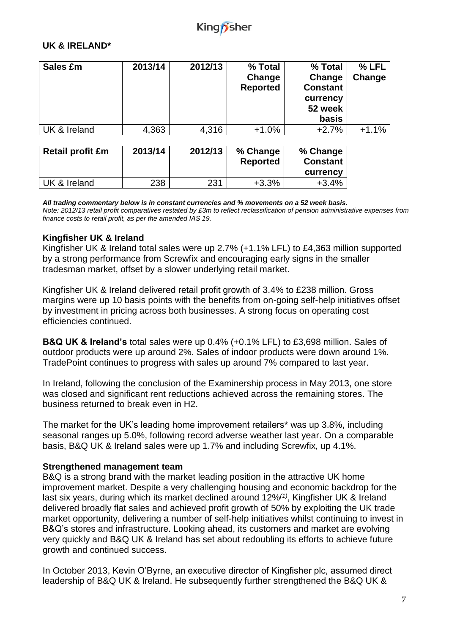

#### **UK & IRELAND\***

| <b>Sales £m</b>         | 2013/14 | 2012/13 | % Total<br>Change<br><b>Reported</b> | % Total<br>Change<br><b>Constant</b><br>currency<br>52 week<br>basis | % LFL<br>Change |
|-------------------------|---------|---------|--------------------------------------|----------------------------------------------------------------------|-----------------|
| UK & Ireland            | 4,363   | 4,316   | $+1.0%$                              | $+2.7%$                                                              | $+1.1%$         |
|                         |         |         |                                      |                                                                      |                 |
| <b>Retail profit £m</b> | 2013/14 | 2012/13 | % Change<br><b>Reported</b>          | % Change<br><b>Constant</b><br>currency                              |                 |

UK & Ireland 238 231 +3.3% +3.4%

*All trading commentary below is in constant currencies and % movements on a 52 week basis. Note: 2012/13 retail profit comparatives restated by £3m to reflect reclassification of pension administrative expenses from finance costs to retail profit, as per the amended IAS 19.*

#### **Kingfisher UK & Ireland**

Kingfisher UK & Ireland total sales were up 2.7% (+1.1% LFL) to £4,363 million supported by a strong performance from Screwfix and encouraging early signs in the smaller tradesman market, offset by a slower underlying retail market.

Kingfisher UK & Ireland delivered retail profit growth of 3.4% to £238 million. Gross margins were up 10 basis points with the benefits from on-going self-help initiatives offset by investment in pricing across both businesses. A strong focus on operating cost efficiencies continued.

**B&Q UK & Ireland's** total sales were up 0.4% (+0.1% LFL) to £3,698 million. Sales of outdoor products were up around 2%. Sales of indoor products were down around 1%. TradePoint continues to progress with sales up around 7% compared to last year.

In Ireland, following the conclusion of the Examinership process in May 2013, one store was closed and significant rent reductions achieved across the remaining stores. The business returned to break even in H2.

The market for the UK's leading home improvement retailers\* was up 3.8%, including seasonal ranges up 5.0%, following record adverse weather last year. On a comparable basis, B&Q UK & Ireland sales were up 1.7% and including Screwfix, up 4.1%.

#### **Strengthened management team**

B&Q is a strong brand with the market leading position in the attractive UK home improvement market. Despite a very challenging housing and economic backdrop for the last six years, during which its market declined around 12%*(1)* , Kingfisher UK & Ireland delivered broadly flat sales and achieved profit growth of 50% by exploiting the UK trade market opportunity, delivering a number of self-help initiatives whilst continuing to invest in B&Q's stores and infrastructure. Looking ahead, its customers and market are evolving very quickly and B&Q UK & Ireland has set about redoubling its efforts to achieve future growth and continued success.

In October 2013, Kevin O'Byrne, an executive director of Kingfisher plc, assumed direct leadership of B&Q UK & Ireland. He subsequently further strengthened the B&Q UK &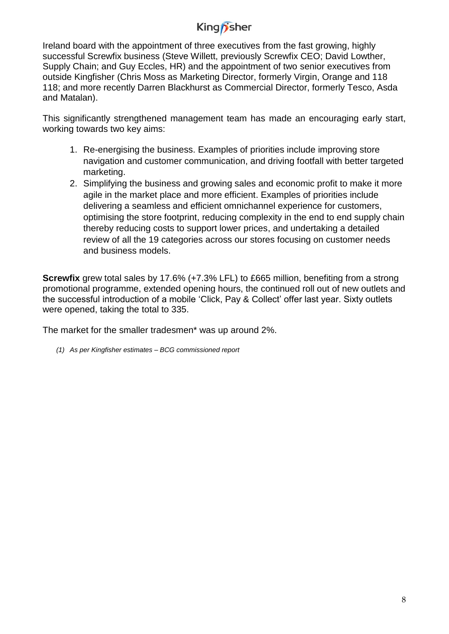## King*r*isher

Ireland board with the appointment of three executives from the fast growing, highly successful Screwfix business (Steve Willett, previously Screwfix CEO; David Lowther, Supply Chain; and Guy Eccles, HR) and the appointment of two senior executives from outside Kingfisher (Chris Moss as Marketing Director, formerly Virgin, Orange and 118 118; and more recently Darren Blackhurst as Commercial Director, formerly Tesco, Asda and Matalan).

This significantly strengthened management team has made an encouraging early start, working towards two key aims:

- 1. Re-energising the business. Examples of priorities include improving store navigation and customer communication, and driving footfall with better targeted marketing.
- 2. Simplifying the business and growing sales and economic profit to make it more agile in the market place and more efficient. Examples of priorities include delivering a seamless and efficient omnichannel experience for customers, optimising the store footprint, reducing complexity in the end to end supply chain thereby reducing costs to support lower prices, and undertaking a detailed review of all the 19 categories across our stores focusing on customer needs and business models.

**Screwfix** grew total sales by 17.6% (+7.3% LFL) to £665 million, benefiting from a strong promotional programme, extended opening hours, the continued roll out of new outlets and the successful introduction of a mobile 'Click, Pay & Collect' offer last year. Sixty outlets were opened, taking the total to 335.

The market for the smaller tradesmen\* was up around 2%.

*(1) As per Kingfisher estimates – BCG commissioned report*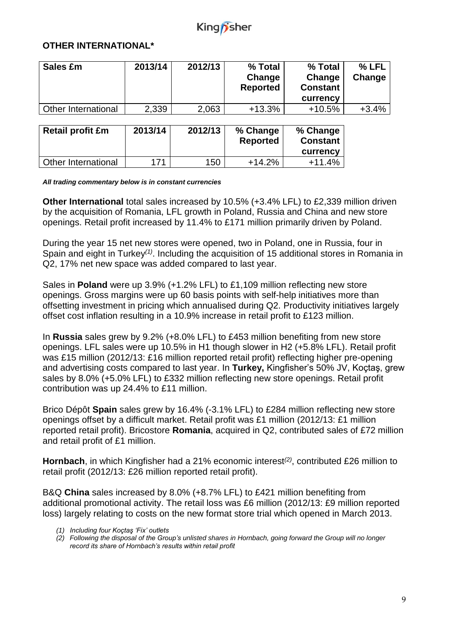

#### **OTHER INTERNATIONAL\***

| Sales £m                | 2013/14 | 2012/13 | % Total<br>Change<br><b>Reported</b> | % Total<br>Change<br><b>Constant</b><br>currency | $%$ LFL<br>Change |
|-------------------------|---------|---------|--------------------------------------|--------------------------------------------------|-------------------|
| Other International     | 2,339   | 2,063   | $+13.3%$                             | $+10.5%$                                         | $+3.4%$           |
| <b>Retail profit £m</b> | 2013/14 | 2012/13 | % Change<br><b>Reported</b>          | % Change<br><b>Constant</b><br>currency          |                   |
| Other International     | 171     | 150     | $+14.2%$                             | $+11.4%$                                         |                   |

*All trading commentary below is in constant currencies*

**Other International** total sales increased by 10.5% (+3.4% LFL) to £2,339 million driven by the acquisition of Romania, LFL growth in Poland, Russia and China and new store openings. Retail profit increased by 11.4% to £171 million primarily driven by Poland.

During the year 15 net new stores were opened, two in Poland, one in Russia, four in Spain and eight in Turkey<sup>(1)</sup>. Including the acquisition of 15 additional stores in Romania in Q2, 17% net new space was added compared to last year.

Sales in **Poland** were up 3.9% (+1.2% LFL) to £1,109 million reflecting new store openings. Gross margins were up 60 basis points with self-help initiatives more than offsetting investment in pricing which annualised during Q2. Productivity initiatives largely offset cost inflation resulting in a 10.9% increase in retail profit to £123 million.

In **Russia** sales grew by 9.2% (+8.0% LFL) to £453 million benefiting from new store openings. LFL sales were up 10.5% in H1 though slower in H2 (+5.8% LFL). Retail profit was £15 million (2012/13: £16 million reported retail profit) reflecting higher pre-opening and advertising costs compared to last year. In **Turkey,** Kingfisher's 50% JV, Koçtaş, grew sales by 8.0% (+5.0% LFL) to £332 million reflecting new store openings. Retail profit contribution was up 24.4% to £11 million.

Brico Dépôt **Spain** sales grew by 16.4% (-3.1% LFL) to £284 million reflecting new store openings offset by a difficult market. Retail profit was £1 million (2012/13: £1 million reported retail profit). Bricostore **Romania**, acquired in Q2, contributed sales of £72 million and retail profit of £1 million.

**Hornbach**, in which Kingfisher had a 21% economic interest*(2)* , contributed £26 million to retail profit (2012/13: £26 million reported retail profit).

B&Q **China** sales increased by 8.0% (+8.7% LFL) to £421 million benefiting from additional promotional activity. The retail loss was £6 million (2012/13: £9 million reported loss) largely relating to costs on the new format store trial which opened in March 2013.

- *(1) Including four Koçtaş 'Fix' outlets*
- *(2) Following the disposal of the Group's unlisted shares in Hornbach, going forward the Group will no longer record its share of Hornbach's results within retail profit*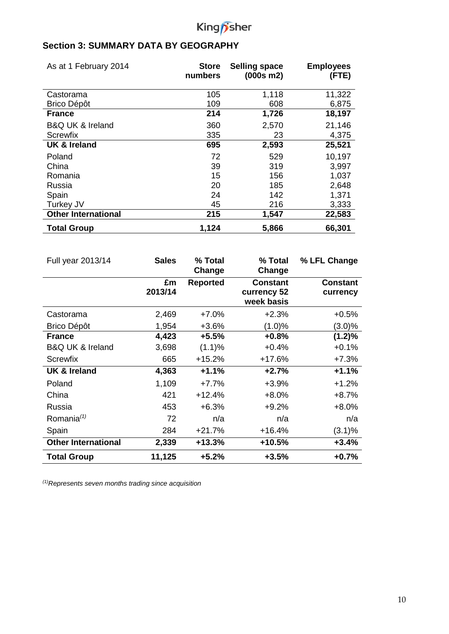# King *f*sher

## **Section 3: SUMMARY DATA BY GEOGRAPHY**

| As at 1 February 2014           | <b>Store</b><br>numbers | <b>Selling space</b><br>(000s m2) | <b>Employees</b><br>(FTE) |
|---------------------------------|-------------------------|-----------------------------------|---------------------------|
| Castorama                       | 105                     | 1,118                             | 11,322                    |
| <b>Brico Dépôt</b>              | 109                     | 608                               | 6,875                     |
| <b>France</b>                   | 214                     | 1,726                             | 18,197                    |
| <b>B&amp;Q UK &amp; Ireland</b> | 360                     | 2,570                             | 21,146                    |
| Screwfix                        | 335                     | 23                                | 4,375                     |
| <b>UK &amp; Ireland</b>         | 695                     | 2,593                             | 25,521                    |
| Poland                          | 72                      | 529                               | 10,197                    |
| China                           | 39                      | 319                               | 3,997                     |
| Romania                         | 15                      | 156                               | 1,037                     |
| Russia                          | 20                      | 185                               | 2,648                     |
| Spain                           | 24                      | 142                               | 1,371                     |
| Turkey JV                       | 45                      | 216                               | 3,333                     |
| <b>Other International</b>      | 215                     | 1,547                             | 22,583                    |
| <b>Total Group</b>              | 1,124                   | 5,866                             | 66,301                    |

| Full year 2013/14               | <b>Sales</b>  | % Total<br>Change | % Total<br>Change                            | % LFL Change                |
|---------------------------------|---------------|-------------------|----------------------------------------------|-----------------------------|
|                                 | £m<br>2013/14 | <b>Reported</b>   | <b>Constant</b><br>currency 52<br>week basis | <b>Constant</b><br>currency |
| Castorama                       | 2,469         | $+7.0%$           | $+2.3%$                                      | $+0.5%$                     |
| Brico Dépôt                     | 1,954         | $+3.6%$           | $(1.0)\%$                                    | (3.0)%                      |
| <b>France</b>                   | 4,423         | $+5.5%$           | $+0.8%$                                      | (1.2)%                      |
| <b>B&amp;Q UK &amp; Ireland</b> | 3,698         | (1.1)%            | $+0.4%$                                      | $+0.1%$                     |
| Screwfix                        | 665           | $+15.2%$          | +17.6%                                       | $+7.3%$                     |
| <b>UK &amp; Ireland</b>         | 4,363         | $+1.1%$           | $+2.7%$                                      | $+1.1%$                     |
| Poland                          | 1,109         | $+7.7%$           | $+3.9%$                                      | $+1.2%$                     |
| China                           | 421           | $+12.4%$          | $+8.0%$                                      | $+8.7%$                     |
| Russia                          | 453           | $+6.3%$           | $+9.2%$                                      | $+8.0%$                     |
| Romania $(1)$                   | 72            | n/a               | n/a                                          | n/a                         |
| Spain                           | 284           | $+21.7%$          | $+16.4%$                                     | (3.1)%                      |
| <b>Other International</b>      | 2,339         | $+13.3%$          | +10.5%                                       | $+3.4%$                     |
| <b>Total Group</b>              | 11,125        | $+5.2%$           | $+3.5%$                                      | $+0.7%$                     |

*(1)Represents seven months trading since acquisition*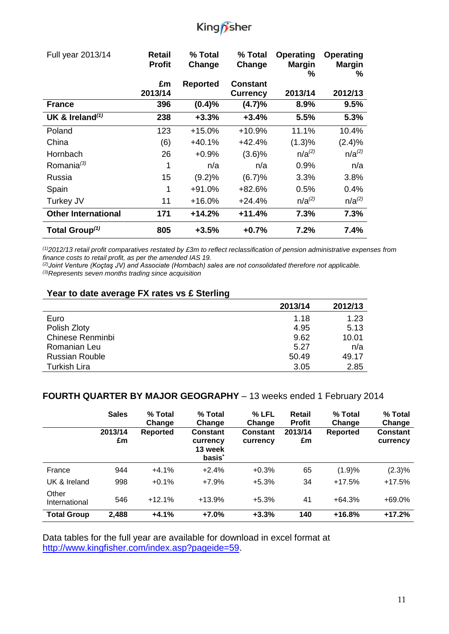## King<sub>/Sher</sub>

| Full year 2013/14          | Retail<br><b>Profit</b> | % Total<br>Change | % Total<br>Change | <b>Operating</b><br><b>Margin</b><br>℅ | Operating<br><b>Margin</b><br>℅ |
|----------------------------|-------------------------|-------------------|-------------------|----------------------------------------|---------------------------------|
|                            | £m                      | <b>Reported</b>   | <b>Constant</b>   |                                        |                                 |
|                            | 2013/14                 |                   | <b>Currency</b>   | 2013/14                                | 2012/13                         |
| <b>France</b>              | 396                     | (0.4)%            | (4.7)%            | 8.9%                                   | 9.5%                            |
| UK & Ireland $(1)$         | 238                     | $+3.3%$           | $+3.4%$           | 5.5%                                   | 5.3%                            |
| Poland                     | 123                     | $+15.0%$          | $+10.9%$          | 11.1%                                  | 10.4%                           |
| China                      | (6)                     | $+40.1%$          | $+42.4%$          | (1.3)%                                 | (2.4)%                          |
| Hornbach                   | 26                      | $+0.9%$           | (3.6)%            | $n/a^{(2)}$                            | $n/a^{(2)}$                     |
| Romania $(3)$              | 1                       | n/a               | n/a               | 0.9%                                   | n/a                             |
| Russia                     | 15                      | (9.2)%            | (6.7)%            | 3.3%                                   | 3.8%                            |
| Spain                      | 1                       | $+91.0%$          | +82.6%            | 0.5%                                   | 0.4%                            |
| Turkey JV                  | 11                      | $+16.0%$          | $+24.4%$          | $n/a^{(2)}$                            | $n/a^{(2)}$                     |
| <b>Other International</b> | 171                     | $+14.2%$          | $+11.4%$          | 7.3%                                   | 7.3%                            |
| Total Group <sup>(1)</sup> | 805                     | $+3.5%$           | $+0.7%$           | 7.2%                                   | 7.4%                            |

*(1)2012/13 retail profit comparatives restated by £3m to reflect reclassification of pension administrative expenses from finance costs to retail profit, as per the amended IAS 19.*

<sup>(2)</sup>*Joint Venture (Koçtaş JV) and Associate (Hornbach) sales are not consolidated therefore not applicable. (3)Represents seven months trading since acquisition* 

#### **Year to date average FX rates vs £ Sterling**

|                       | 2013/14 | 2012/13 |
|-----------------------|---------|---------|
| Euro                  | 1.18    | 1.23    |
| Polish Zloty          | 4.95    | 5.13    |
| Chinese Renminbi      | 9.62    | 10.01   |
| Romanian Leu          | 5.27    | n/a     |
| <b>Russian Rouble</b> | 50.49   | 49.17   |
| <b>Turkish Lira</b>   | 3.05    | 2.85    |

#### **FOURTH QUARTER BY MAJOR GEOGRAPHY** – 13 weeks ended 1 February 2014

|                        | <b>Sales</b><br>2013/14<br>£m | % Total<br>Change<br>Reported | % Total<br>Change<br><b>Constant</b><br>currency<br>13 week<br>basis <sup>*</sup> | % LFL<br>Change<br><b>Constant</b><br>currency | Retail<br><b>Profit</b><br>2013/14<br>£m | % Total<br>Change<br><b>Reported</b> | % Total<br>Change<br><b>Constant</b><br>currency |
|------------------------|-------------------------------|-------------------------------|-----------------------------------------------------------------------------------|------------------------------------------------|------------------------------------------|--------------------------------------|--------------------------------------------------|
| France                 | 944                           | $+4.1%$                       | $+2.4%$                                                                           | $+0.3%$                                        | 65                                       | (1.9)%                               | (2.3)%                                           |
| UK & Ireland           | 998                           | $+0.1%$                       | $+7.9%$                                                                           | $+5.3%$                                        | 34                                       | $+17.5%$                             | $+17.5%$                                         |
| Other<br>International | 546                           | $+12.1%$                      | $+13.9%$                                                                          | $+5.3%$                                        | 41                                       | $+64.3%$                             | $+69.0%$                                         |
| <b>Total Group</b>     | 2,488                         | $+4.1%$                       | $+7.0%$                                                                           | $+3.3%$                                        | 140                                      | $+16.8%$                             | $+17.2%$                                         |

Data tables for the full year are available for download in excel format at [http://www.kingfisher.com/index.asp?pageide=59.](http://www.kingfisher.com/index.asp?pageide=59)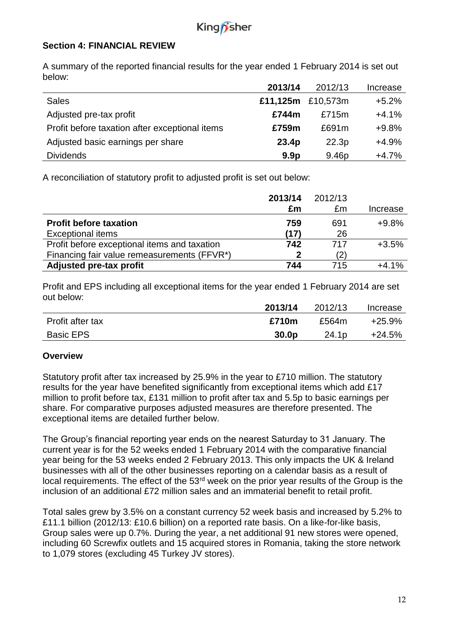## King<sub>D</sub> sher

### **Section 4: FINANCIAL REVIEW**

A summary of the reported financial results for the year ended 1 February 2014 is set out below:

|                                                | 2013/14          | 2012/13           | Increase |
|------------------------------------------------|------------------|-------------------|----------|
| <b>Sales</b>                                   |                  | £11,125m £10,573m | $+5.2%$  |
| Adjusted pre-tax profit                        | £744m            | £715m             | $+4.1%$  |
| Profit before taxation after exceptional items | £759m            | £691m             | $+9.8%$  |
| Adjusted basic earnings per share              | 23.4p            | 22.3p             | $+4.9%$  |
| <b>Dividends</b>                               | 9.9 <sub>p</sub> | 9.46 <sub>p</sub> | $+4.7%$  |

A reconciliation of statutory profit to adjusted profit is set out below:

|                                              | 2013/14<br>£m | 2012/13<br>£m | Increase |
|----------------------------------------------|---------------|---------------|----------|
| <b>Profit before taxation</b>                | 759           | 691           | $+9.8%$  |
| <b>Exceptional items</b>                     | (17)          | 26            |          |
| Profit before exceptional items and taxation | 742           | 717           | $+3.5%$  |
| Financing fair value remeasurements (FFVR*)  | $\mathbf 2$   | (2)           |          |
| Adjusted pre-tax profit                      | 744           | 715           | $+4.1%$  |

Profit and EPS including all exceptional items for the year ended 1 February 2014 are set out below:

|                  | 2013/14           | 2012/13           | Increase |
|------------------|-------------------|-------------------|----------|
| Profit after tax | £710m             | £564m             | +25.9%   |
| <b>Basic EPS</b> | 30.0 <sub>p</sub> | 24.1 <sub>p</sub> | +24.5%   |

### **Overview**

Statutory profit after tax increased by 25.9% in the year to £710 million. The statutory results for the year have benefited significantly from exceptional items which add £17 million to profit before tax, £131 million to profit after tax and 5.5p to basic earnings per share. For comparative purposes adjusted measures are therefore presented. The exceptional items are detailed further below.

The Group's financial reporting year ends on the nearest Saturday to 31 January. The current year is for the 52 weeks ended 1 February 2014 with the comparative financial year being for the 53 weeks ended 2 February 2013. This only impacts the UK & Ireland businesses with all of the other businesses reporting on a calendar basis as a result of local requirements. The effect of the 53<sup>rd</sup> week on the prior year results of the Group is the inclusion of an additional £72 million sales and an immaterial benefit to retail profit.

Total sales grew by 3.5% on a constant currency 52 week basis and increased by 5.2% to £11.1 billion (2012/13: £10.6 billion) on a reported rate basis. On a like-for-like basis, Group sales were up 0.7%. During the year, a net additional 91 new stores were opened, including 60 Screwfix outlets and 15 acquired stores in Romania, taking the store network to 1,079 stores (excluding 45 Turkey JV stores).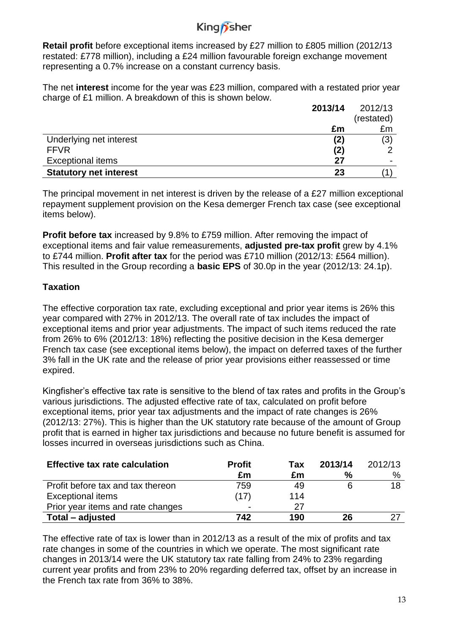## King *i*sher

**Retail profit** before exceptional items increased by £27 million to £805 million (2012/13 restated: £778 million), including a £24 million favourable foreign exchange movement representing a 0.7% increase on a constant currency basis.

The net **interest** income for the year was £23 million, compared with a restated prior year charge of £1 million. A breakdown of this is shown below.

|                               | 2013/14 | 2012/13    |
|-------------------------------|---------|------------|
|                               |         | (restated) |
|                               | £m      | £m         |
| Underlying net interest       | (2)     | (3)        |
| <b>FFVR</b>                   | (2)     |            |
| <b>Exceptional items</b>      | 27      | -          |
| <b>Statutory net interest</b> | 23      |            |

The principal movement in net interest is driven by the release of a £27 million exceptional repayment supplement provision on the Kesa demerger French tax case (see exceptional items below).

**Profit before tax** increased by 9.8% to £759 million. After removing the impact of exceptional items and fair value remeasurements, **adjusted pre-tax profit** grew by 4.1% to £744 million. **Profit after tax** for the period was £710 million (2012/13: £564 million). This resulted in the Group recording a **basic EPS** of 30.0p in the year (2012/13: 24.1p).

## **Taxation**

The effective corporation tax rate, excluding exceptional and prior year items is 26% this year compared with 27% in 2012/13. The overall rate of tax includes the impact of exceptional items and prior year adjustments. The impact of such items reduced the rate from 26% to 6% (2012/13: 18%) reflecting the positive decision in the Kesa demerger French tax case (see exceptional items below), the impact on deferred taxes of the further 3% fall in the UK rate and the release of prior year provisions either reassessed or time expired.

Kingfisher's effective tax rate is sensitive to the blend of tax rates and profits in the Group's various jurisdictions. The adjusted effective rate of tax, calculated on profit before exceptional items, prior year tax adjustments and the impact of rate changes is 26% (2012/13: 27%). This is higher than the UK statutory rate because of the amount of Group profit that is earned in higher tax jurisdictions and because no future benefit is assumed for losses incurred in overseas jurisdictions such as China.

| <b>Effective tax rate calculation</b> | <b>Profit</b>            | Tax | 2013/14 | 2012/13 |
|---------------------------------------|--------------------------|-----|---------|---------|
|                                       | £m                       | £m  | $\%$    | %       |
| Profit before tax and tax thereon     | 759                      | 49  |         | 18      |
| <b>Exceptional items</b>              | (17)                     | 114 |         |         |
| Prior year items and rate changes     | $\overline{\phantom{0}}$ | 27  |         |         |
| Total – adjusted                      | 742                      | 190 | 26      |         |

The effective rate of tax is lower than in 2012/13 as a result of the mix of profits and tax rate changes in some of the countries in which we operate. The most significant rate changes in 2013/14 were the UK statutory tax rate falling from 24% to 23% regarding current year profits and from 23% to 20% regarding deferred tax, offset by an increase in the French tax rate from 36% to 38%.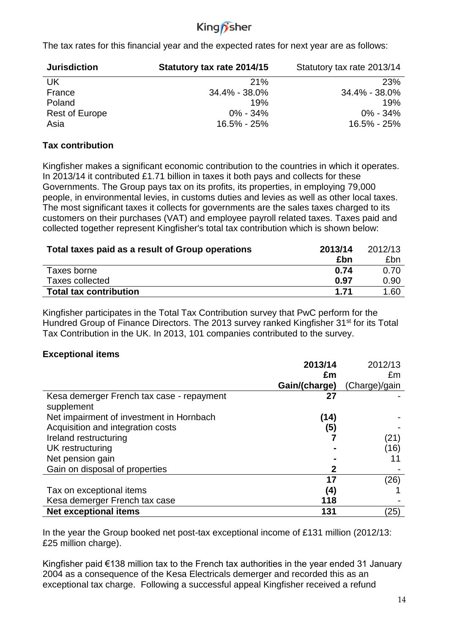## King*i* sher

The tax rates for this financial year and the expected rates for next year are as follows:

| <b>Jurisdiction</b>   | Statutory tax rate 2014/15 | Statutory tax rate 2013/14 |
|-----------------------|----------------------------|----------------------------|
| UK.                   | 21%                        | <b>23%</b>                 |
| France                | 34.4% - 38.0%              | $34.4\% - 38.0\%$          |
| Poland                | 19%                        | 19%                        |
| <b>Rest of Europe</b> | $0\% - 34\%$               | $0\%$ - 34%                |
| Asia                  | 16.5% - 25%                | 16.5% - 25%                |

#### **Tax contribution**

Kingfisher makes a significant economic contribution to the countries in which it operates. In 2013/14 it contributed £1.71 billion in taxes it both pays and collects for these Governments. The Group pays tax on its profits, its properties, in employing 79,000 people, in environmental levies, in customs duties and levies as well as other local taxes. The most significant taxes it collects for governments are the sales taxes charged to its customers on their purchases (VAT) and employee payroll related taxes. Taxes paid and collected together represent Kingfisher's total tax contribution which is shown below:

| Total taxes paid as a result of Group operations | 2013/14 | 2012/13 |
|--------------------------------------------------|---------|---------|
|                                                  | £bn     | £bn     |
| Taxes borne                                      | 0.74    | 0.70    |
| Taxes collected                                  | 0.97    | 0.90    |
| <b>Total tax contribution</b>                    | 1.71    | 1.60    |

Kingfisher participates in the Total Tax Contribution survey that PwC perform for the Hundred Group of Finance Directors. The 2013 survey ranked Kingfisher 31<sup>st</sup> for its Total Tax Contribution in the UK. In 2013, 101 companies contributed to the survey.

#### **Exceptional items**

|                                                         | 2013/14       | 2012/13       |
|---------------------------------------------------------|---------------|---------------|
|                                                         | £m            | £m            |
|                                                         | Gain/(charge) | (Charge)/gain |
| Kesa demerger French tax case - repayment<br>supplement | 27            |               |
| Net impairment of investment in Hornbach                | (14)          |               |
| Acquisition and integration costs                       | (5)           |               |
| Ireland restructuring                                   |               | (21)          |
| UK restructuring                                        |               | (16)          |
| Net pension gain                                        |               |               |
| Gain on disposal of properties                          | 2             |               |
|                                                         | 17            | (26)          |
| Tax on exceptional items                                | (4)           |               |
| Kesa demerger French tax case                           | 118           |               |
| <b>Net exceptional items</b>                            | 131           | (25)          |

In the year the Group booked net post-tax exceptional income of £131 million (2012/13: £25 million charge).

Kingfisher paid €138 million tax to the French tax authorities in the year ended 31 January 2004 as a consequence of the Kesa Electricals demerger and recorded this as an exceptional tax charge. Following a successful appeal Kingfisher received a refund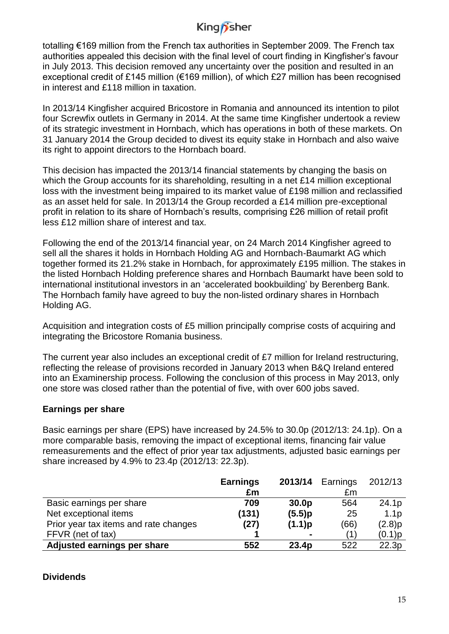## King*r*isher

totalling €169 million from the French tax authorities in September 2009. The French tax authorities appealed this decision with the final level of court finding in Kingfisher's favour in July 2013. This decision removed any uncertainty over the position and resulted in an exceptional credit of £145 million (€169 million), of which £27 million has been recognised in interest and £118 million in taxation.

In 2013/14 Kingfisher acquired Bricostore in Romania and announced its intention to pilot four Screwfix outlets in Germany in 2014. At the same time Kingfisher undertook a review of its strategic investment in Hornbach, which has operations in both of these markets. On 31 January 2014 the Group decided to divest its equity stake in Hornbach and also waive its right to appoint directors to the Hornbach board.

This decision has impacted the 2013/14 financial statements by changing the basis on which the Group accounts for its shareholding, resulting in a net £14 million exceptional loss with the investment being impaired to its market value of £198 million and reclassified as an asset held for sale. In 2013/14 the Group recorded a £14 million pre-exceptional profit in relation to its share of Hornbach's results, comprising £26 million of retail profit less £12 million share of interest and tax.

Following the end of the 2013/14 financial year, on 24 March 2014 Kingfisher agreed to sell all the shares it holds in Hornbach Holding AG and Hornbach-Baumarkt AG which together formed its 21.2% stake in Hornbach, for approximately £195 million. The stakes in the listed Hornbach Holding preference shares and Hornbach Baumarkt have been sold to international institutional investors in an 'accelerated bookbuilding' by Berenberg Bank. The Hornbach family have agreed to buy the non-listed ordinary shares in Hornbach Holding AG.

Acquisition and integration costs of £5 million principally comprise costs of acquiring and integrating the Bricostore Romania business.

The current year also includes an exceptional credit of £7 million for Ireland restructuring, reflecting the release of provisions recorded in January 2013 when B&Q Ireland entered into an Examinership process. Following the conclusion of this process in May 2013, only one store was closed rather than the potential of five, with over 600 jobs saved.

### **Earnings per share**

Basic earnings per share (EPS) have increased by 24.5% to 30.0p (2012/13: 24.1p). On a more comparable basis, removing the impact of exceptional items, financing fair value remeasurements and the effect of prior year tax adjustments, adjusted basic earnings per share increased by 4.9% to 23.4p (2012/13: 22.3p).

|                                       | <b>Earnings</b> |        | <b>2013/14 Earnings</b> | 2012/13          |
|---------------------------------------|-----------------|--------|-------------------------|------------------|
|                                       | £m              |        | £m                      |                  |
| Basic earnings per share              | 709             | 30.0p  | 564                     | 24.1p            |
| Net exceptional items                 | (131)           | (5.5)p | 25                      | 1.1 <sub>p</sub> |
| Prior year tax items and rate changes | (27)            | (1.1)p | (66)                    | (2.8)p           |
| FFVR (net of tax)                     |                 |        |                         | (0.1)p           |
| Adjusted earnings per share           | 552             | 23.4p  | 522                     | 22.3p            |

#### **Dividends**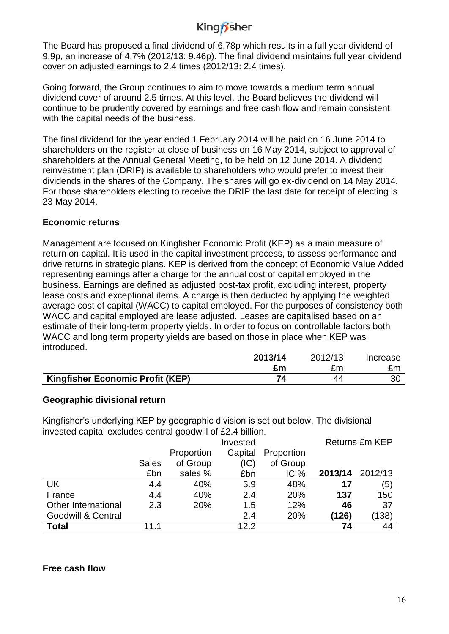## King*r*isher

The Board has proposed a final dividend of 6.78p which results in a full year dividend of 9.9p, an increase of 4.7% (2012/13: 9.46p). The final dividend maintains full year dividend cover on adjusted earnings to 2.4 times (2012/13: 2.4 times).

Going forward, the Group continues to aim to move towards a medium term annual dividend cover of around 2.5 times. At this level, the Board believes the dividend will continue to be prudently covered by earnings and free cash flow and remain consistent with the capital needs of the business.

The final dividend for the year ended 1 February 2014 will be paid on 16 June 2014 to shareholders on the register at close of business on 16 May 2014, subject to approval of shareholders at the Annual General Meeting, to be held on 12 June 2014. A dividend reinvestment plan (DRIP) is available to shareholders who would prefer to invest their dividends in the shares of the Company. The shares will go ex-dividend on 14 May 2014. For those shareholders electing to receive the DRIP the last date for receipt of electing is 23 May 2014.

### **Economic returns**

Management are focused on Kingfisher Economic Profit (KEP) as a main measure of return on capital. It is used in the capital investment process, to assess performance and drive returns in strategic plans. KEP is derived from the concept of Economic Value Added representing earnings after a charge for the annual cost of capital employed in the business. Earnings are defined as adjusted post-tax profit, excluding interest, property lease costs and exceptional items. A charge is then deducted by applying the weighted average cost of capital (WACC) to capital employed. For the purposes of consistency both WACC and capital employed are lease adjusted. Leases are capitalised based on an estimate of their long-term property yields. In order to focus on controllable factors both WACC and long term property yields are based on those in place when KEP was introduced.

|                                         | 2013/14 | 2012/13 | Increase |
|-----------------------------------------|---------|---------|----------|
|                                         | £m      |         |          |
| <b>Kingfisher Economic Profit (KEP)</b> |         |         |          |

### **Geographic divisional return**

Kingfisher's underlying KEP by geographic division is set out below. The divisional invested capital excludes central goodwill of £2.4 billion.

|                               |              |            | Invested |            |       | Returns £m KEP  |
|-------------------------------|--------------|------------|----------|------------|-------|-----------------|
|                               |              | Proportion | Capital  | Proportion |       |                 |
|                               | <b>Sales</b> | of Group   | (IC)     | of Group   |       |                 |
|                               | £bn          | sales %    | £bn      | IC $%$     |       | 2013/14 2012/13 |
| <b>UK</b>                     | 4.4          | 40%        | 5.9      | 48%        | 17    | (5)             |
| France                        | 4.4          | 40%        | 2.4      | 20%        | 137   | 150             |
| <b>Other International</b>    | 2.3          | 20%        | 1.5      | 12%        | 46    | 37              |
| <b>Goodwill &amp; Central</b> |              |            | 2.4      | 20%        | (126) | (138)           |
| <b>Total</b>                  | 11 1         |            | 12.2     |            | 74    | 44              |

### **Free cash flow**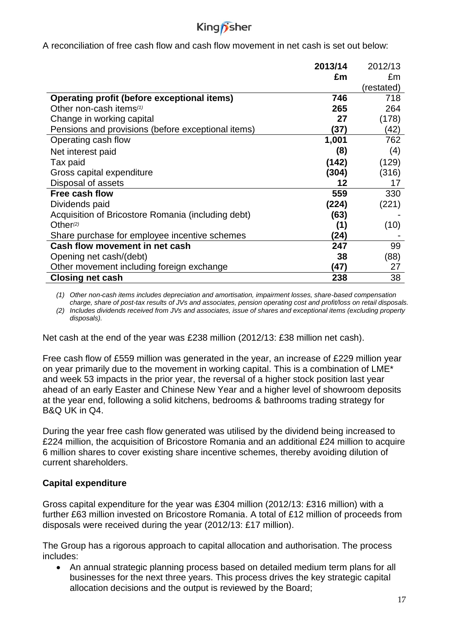## King*n* sher

A reconciliation of free cash flow and cash flow movement in net cash is set out below:

|                                                    | 2013/14 | 2012/13    |
|----------------------------------------------------|---------|------------|
|                                                    | £m      | £m         |
|                                                    |         | (restated) |
| Operating profit (before exceptional items)        | 746     | 718        |
| Other non-cash items <sup>(1)</sup>                | 265     | 264        |
| Change in working capital                          | 27      | (178)      |
| Pensions and provisions (before exceptional items) | (37)    | (42)       |
| Operating cash flow                                | 1,001   | 762        |
| Net interest paid                                  | (8)     | (4)        |
| Tax paid                                           | (142)   | (129)      |
| Gross capital expenditure                          | (304)   | (316)      |
| Disposal of assets                                 | 12      | 17         |
| Free cash flow                                     | 559     | 330        |
| Dividends paid                                     | (224)   | (221)      |
| Acquisition of Bricostore Romania (including debt) | (63)    |            |
| Other $(2)$                                        | (1)     | (10)       |
| Share purchase for employee incentive schemes      | (24)    |            |
| Cash flow movement in net cash                     | 247     | 99         |
| Opening net cash/(debt)                            | 38      | (88)       |
| Other movement including foreign exchange          | (47)    | 27         |
| <b>Closing net cash</b>                            | 238     | 38         |

*(1) Other non-cash items includes depreciation and amortisation, impairment losses, share-based compensation charge, share of post-tax results of JVs and associates, pension operating cost and profit/loss on retail disposals.*

*(2) Includes dividends received from JVs and associates, issue of shares and exceptional items (excluding property disposals).* 

Net cash at the end of the year was £238 million (2012/13: £38 million net cash).

Free cash flow of £559 million was generated in the year, an increase of £229 million year on year primarily due to the movement in working capital. This is a combination of LME\* and week 53 impacts in the prior year, the reversal of a higher stock position last year ahead of an early Easter and Chinese New Year and a higher level of showroom deposits at the year end, following a solid kitchens, bedrooms & bathrooms trading strategy for B&Q UK in Q4.

During the year free cash flow generated was utilised by the dividend being increased to £224 million, the acquisition of Bricostore Romania and an additional £24 million to acquire 6 million shares to cover existing share incentive schemes, thereby avoiding dilution of current shareholders.

### **Capital expenditure**

Gross capital expenditure for the year was £304 million (2012/13: £316 million) with a further £63 million invested on Bricostore Romania. A total of £12 million of proceeds from disposals were received during the year (2012/13: £17 million).

The Group has a rigorous approach to capital allocation and authorisation. The process includes:

 An annual strategic planning process based on detailed medium term plans for all businesses for the next three years. This process drives the key strategic capital allocation decisions and the output is reviewed by the Board;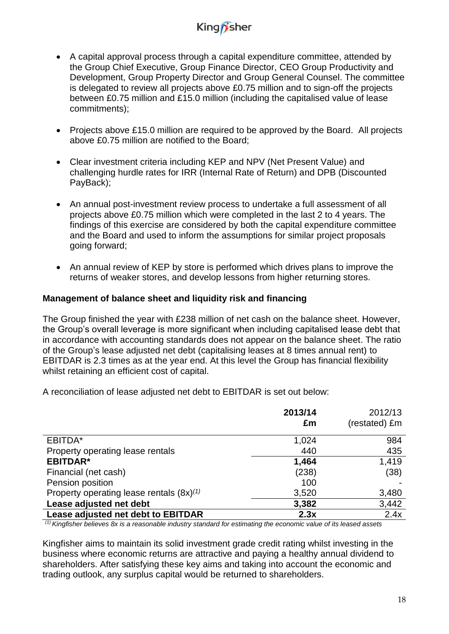

- A capital approval process through a capital expenditure committee, attended by the Group Chief Executive, Group Finance Director, CEO Group Productivity and Development, Group Property Director and Group General Counsel. The committee is delegated to review all projects above £0.75 million and to sign-off the projects between £0.75 million and £15.0 million (including the capitalised value of lease commitments);
- Projects above £15.0 million are required to be approved by the Board. All projects above £0.75 million are notified to the Board;
- Clear investment criteria including KEP and NPV (Net Present Value) and challenging hurdle rates for IRR (Internal Rate of Return) and DPB (Discounted PayBack);
- An annual post-investment review process to undertake a full assessment of all projects above £0.75 million which were completed in the last 2 to 4 years. The findings of this exercise are considered by both the capital expenditure committee and the Board and used to inform the assumptions for similar project proposals going forward;
- An annual review of KEP by store is performed which drives plans to improve the returns of weaker stores, and develop lessons from higher returning stores.

#### **Management of balance sheet and liquidity risk and financing**

The Group finished the year with £238 million of net cash on the balance sheet. However, the Group's overall leverage is more significant when including capitalised lease debt that in accordance with accounting standards does not appear on the balance sheet. The ratio of the Group's lease adjusted net debt (capitalising leases at 8 times annual rent) to EBITDAR is 2.3 times as at the year end. At this level the Group has financial flexibility whilst retaining an efficient cost of capital.

A reconciliation of lease adjusted net debt to EBITDAR is set out below: **2013/14**

|                                               | 2013/14<br>£m | 2012/13<br>(restated) £m |
|-----------------------------------------------|---------------|--------------------------|
| EBITDA*                                       | 1,024         | 984                      |
| Property operating lease rentals              | 440           | 435                      |
| <b>EBITDAR*</b>                               | 1,464         | 1,419                    |
| Financial (net cash)                          | (238)         | (38)                     |
| Pension position                              | 100           |                          |
| Property operating lease rentals $(8x)^{(1)}$ | 3,520         | 3,480                    |
| Lease adjusted net debt                       | 3,382         | 3,442                    |
| Lease adjusted net debt to EBITDAR            | 2.3x          | 2.4x                     |

*(1) Kingfisher believes 8x is a reasonable industry standard for estimating the economic value of its leased assets*

Kingfisher aims to maintain its solid investment grade credit rating whilst investing in the business where economic returns are attractive and paying a healthy annual dividend to shareholders. After satisfying these key aims and taking into account the economic and trading outlook, any surplus capital would be returned to shareholders.

2012/13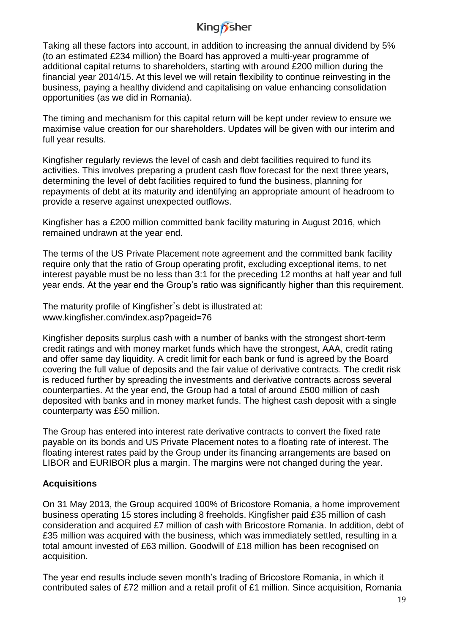## King*r*isher

Taking all these factors into account, in addition to increasing the annual dividend by 5% (to an estimated £234 million) the Board has approved a multi-year programme of additional capital returns to shareholders, starting with around £200 million during the financial year 2014/15. At this level we will retain flexibility to continue reinvesting in the business, paying a healthy dividend and capitalising on value enhancing consolidation opportunities (as we did in Romania).

The timing and mechanism for this capital return will be kept under review to ensure we maximise value creation for our shareholders. Updates will be given with our interim and full year results.

Kingfisher regularly reviews the level of cash and debt facilities required to fund its activities. This involves preparing a prudent cash flow forecast for the next three years, determining the level of debt facilities required to fund the business, planning for repayments of debt at its maturity and identifying an appropriate amount of headroom to provide a reserve against unexpected outflows.

Kingfisher has a £200 million committed bank facility maturing in August 2016, which remained undrawn at the year end.

The terms of the US Private Placement note agreement and the committed bank facility require only that the ratio of Group operating profit, excluding exceptional items, to net interest payable must be no less than 3:1 for the preceding 12 months at half year and full year ends. At the year end the Group's ratio was significantly higher than this requirement.

The maturity profile of Kingfisher's debt is illustrated at: [www.kingfisher.com/index.asp?pageid=76](http://www.kingfisher.com/index.asp?pageid=76)

Kingfisher deposits surplus cash with a number of banks with the strongest short-term credit ratings and with money market funds which have the strongest, AAA, credit rating and offer same day liquidity. A credit limit for each bank or fund is agreed by the Board covering the full value of deposits and the fair value of derivative contracts. The credit risk is reduced further by spreading the investments and derivative contracts across several counterparties. At the year end, the Group had a total of around £500 million of cash deposited with banks and in money market funds. The highest cash deposit with a single counterparty was £50 million.

The Group has entered into interest rate derivative contracts to convert the fixed rate payable on its bonds and US Private Placement notes to a floating rate of interest. The floating interest rates paid by the Group under its financing arrangements are based on LIBOR and EURIBOR plus a margin. The margins were not changed during the year.

## **Acquisitions**

On 31 May 2013, the Group acquired 100% of Bricostore Romania, a home improvement business operating 15 stores including 8 freeholds. Kingfisher paid £35 million of cash consideration and acquired £7 million of cash with Bricostore Romania. In addition, debt of £35 million was acquired with the business, which was immediately settled, resulting in a total amount invested of £63 million. Goodwill of £18 million has been recognised on acquisition.

The year end results include seven month's trading of Bricostore Romania, in which it contributed sales of £72 million and a retail profit of £1 million. Since acquisition, Romania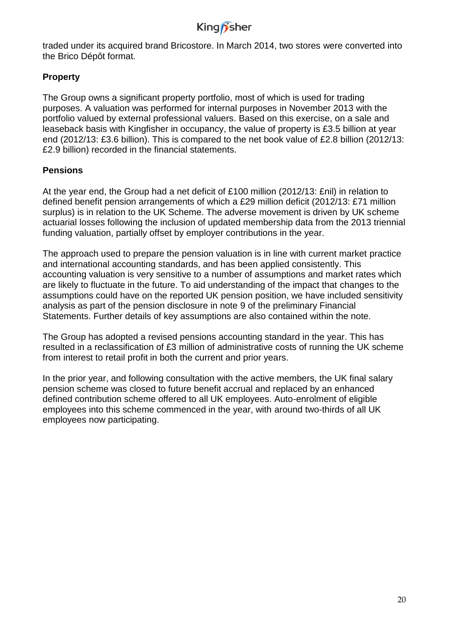

traded under its acquired brand Bricostore. In March 2014, two stores were converted into the Brico Dépôt format.

### **Property**

The Group owns a significant property portfolio, most of which is used for trading purposes. A valuation was performed for internal purposes in November 2013 with the portfolio valued by external professional valuers. Based on this exercise, on a sale and leaseback basis with Kingfisher in occupancy, the value of property is £3.5 billion at year end (2012/13: £3.6 billion). This is compared to the net book value of £2.8 billion (2012/13: £2.9 billion) recorded in the financial statements.

### **Pensions**

At the year end, the Group had a net deficit of £100 million (2012/13: £nil) in relation to defined benefit pension arrangements of which a £29 million deficit (2012/13: £71 million surplus) is in relation to the UK Scheme. The adverse movement is driven by UK scheme actuarial losses following the inclusion of updated membership data from the 2013 triennial funding valuation, partially offset by employer contributions in the year.

The approach used to prepare the pension valuation is in line with current market practice and international accounting standards, and has been applied consistently. This accounting valuation is very sensitive to a number of assumptions and market rates which are likely to fluctuate in the future. To aid understanding of the impact that changes to the assumptions could have on the reported UK pension position, we have included sensitivity analysis as part of the pension disclosure in note 9 of the preliminary Financial Statements. Further details of key assumptions are also contained within the note.

The Group has adopted a revised pensions accounting standard in the year. This has resulted in a reclassification of £3 million of administrative costs of running the UK scheme from interest to retail profit in both the current and prior years.

In the prior year, and following consultation with the active members, the UK final salary pension scheme was closed to future benefit accrual and replaced by an enhanced defined contribution scheme offered to all UK employees. Auto-enrolment of eligible employees into this scheme commenced in the year, with around two-thirds of all UK employees now participating.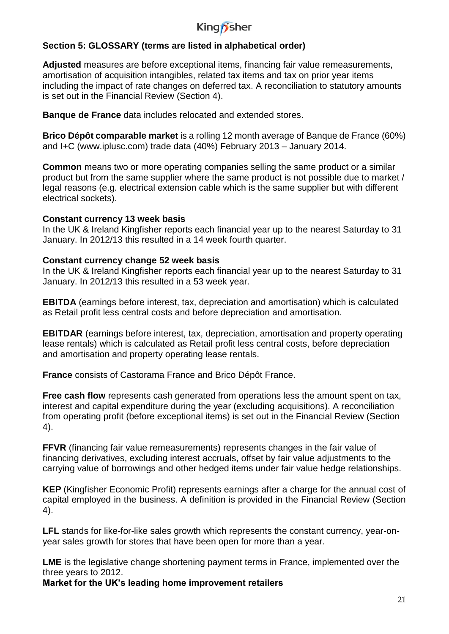## King*n* sher

### **Section 5: GLOSSARY (terms are listed in alphabetical order)**

**Adjusted** measures are before exceptional items, financing fair value remeasurements, amortisation of acquisition intangibles, related tax items and tax on prior year items including the impact of rate changes on deferred tax. A reconciliation to statutory amounts is set out in the Financial Review (Section 4).

**Banque de France** data includes relocated and extended stores.

**Brico Dépôt comparable market** is a rolling 12 month average of Banque de France (60%) and I+C (www.iplusc.com) trade data (40%) February 2013 – January 2014.

**Common** means two or more operating companies selling the same product or a similar product but from the same supplier where the same product is not possible due to market / legal reasons (e.g. electrical extension cable which is the same supplier but with different electrical sockets).

#### **Constant currency 13 week basis**

In the UK & Ireland Kingfisher reports each financial year up to the nearest Saturday to 31 January. In 2012/13 this resulted in a 14 week fourth quarter.

#### **Constant currency change 52 week basis**

In the UK & Ireland Kingfisher reports each financial year up to the nearest Saturday to 31 January. In 2012/13 this resulted in a 53 week year.

**EBITDA** (earnings before interest, tax, depreciation and amortisation) which is calculated as Retail profit less central costs and before depreciation and amortisation.

**EBITDAR** (earnings before interest, tax, depreciation, amortisation and property operating lease rentals) which is calculated as Retail profit less central costs, before depreciation and amortisation and property operating lease rentals.

**France** consists of Castorama France and Brico Dépôt France.

**Free cash flow** represents cash generated from operations less the amount spent on tax, interest and capital expenditure during the year (excluding acquisitions). A reconciliation from operating profit (before exceptional items) is set out in the Financial Review (Section 4).

**FFVR** (financing fair value remeasurements) represents changes in the fair value of financing derivatives, excluding interest accruals, offset by fair value adjustments to the carrying value of borrowings and other hedged items under fair value hedge relationships.

**KEP** (Kingfisher Economic Profit) represents earnings after a charge for the annual cost of capital employed in the business. A definition is provided in the Financial Review (Section 4).

**LFL** stands for like-for-like sales growth which represents the constant currency, year-onyear sales growth for stores that have been open for more than a year.

**LME** is the legislative change shortening payment terms in France, implemented over the three years to 2012.

**Market for the UK's leading home improvement retailers**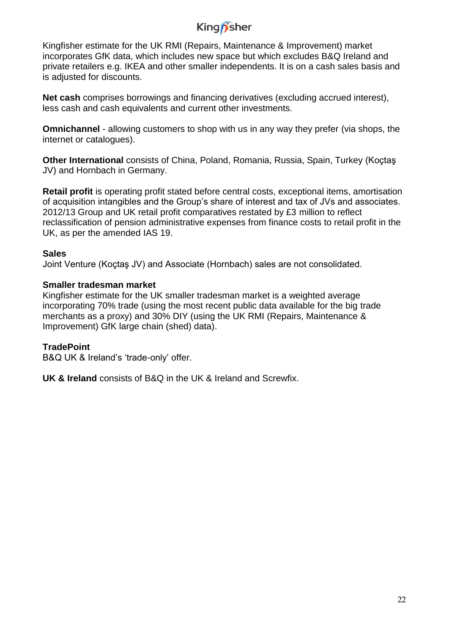## King<sub>n</sub> sher

Kingfisher estimate for the UK RMI (Repairs, Maintenance & Improvement) market incorporates GfK data, which includes new space but which excludes B&Q Ireland and private retailers e.g. IKEA and other smaller independents. It is on a cash sales basis and is adjusted for discounts.

**Net cash** comprises borrowings and financing derivatives (excluding accrued interest), less cash and cash equivalents and current other investments.

**Omnichannel** - allowing customers to shop with us in any way they prefer (via shops, the internet or catalogues).

**Other International** consists of China, Poland, Romania, Russia, Spain, Turkey (Koçtaş JV) and Hornbach in Germany.

**Retail profit** is operating profit stated before central costs, exceptional items, amortisation of acquisition intangibles and the Group's share of interest and tax of JVs and associates. 2012/13 Group and UK retail profit comparatives restated by £3 million to reflect reclassification of pension administrative expenses from finance costs to retail profit in the UK, as per the amended IAS 19.

#### **Sales**

Joint Venture (Koçtaş JV) and Associate (Hornbach) sales are not consolidated.

#### **Smaller tradesman market**

Kingfisher estimate for the UK smaller tradesman market is a weighted average incorporating 70% trade (using the most recent public data available for the big trade merchants as a proxy) and 30% DIY (using the UK RMI (Repairs, Maintenance & Improvement) GfK large chain (shed) data).

### **TradePoint**

B&Q UK & Ireland's 'trade-only' offer.

**UK & Ireland** consists of B&Q in the UK & Ireland and Screwfix.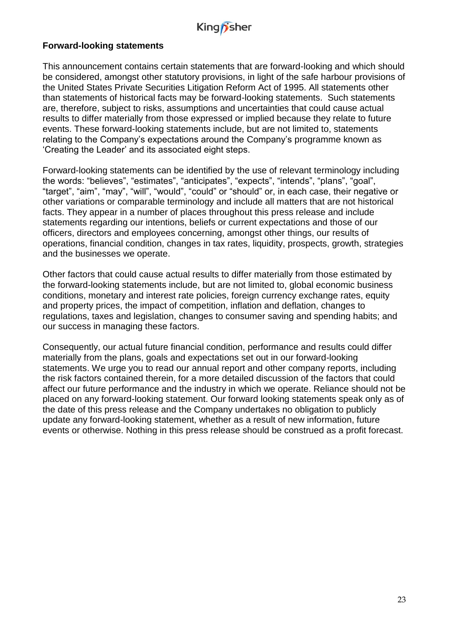

#### **Forward-looking statements**

This announcement contains certain statements that are forward-looking and which should be considered, amongst other statutory provisions, in light of the safe harbour provisions of the United States Private Securities Litigation Reform Act of 1995. All statements other than statements of historical facts may be forward-looking statements. Such statements are, therefore, subject to risks, assumptions and uncertainties that could cause actual results to differ materially from those expressed or implied because they relate to future events. These forward-looking statements include, but are not limited to, statements relating to the Company's expectations around the Company's programme known as 'Creating the Leader' and its associated eight steps.

Forward-looking statements can be identified by the use of relevant terminology including the words: "believes", "estimates", "anticipates", "expects", "intends", "plans", "goal", "target", "aim", "may", "will", "would", "could" or "should" or, in each case, their negative or other variations or comparable terminology and include all matters that are not historical facts. They appear in a number of places throughout this press release and include statements regarding our intentions, beliefs or current expectations and those of our officers, directors and employees concerning, amongst other things, our results of operations, financial condition, changes in tax rates, liquidity, prospects, growth, strategies and the businesses we operate.

Other factors that could cause actual results to differ materially from those estimated by the forward-looking statements include, but are not limited to, global economic business conditions, monetary and interest rate policies, foreign currency exchange rates, equity and property prices, the impact of competition, inflation and deflation, changes to regulations, taxes and legislation, changes to consumer saving and spending habits; and our success in managing these factors.

Consequently, our actual future financial condition, performance and results could differ materially from the plans, goals and expectations set out in our forward-looking statements. We urge you to read our annual report and other company reports, including the risk factors contained therein, for a more detailed discussion of the factors that could affect our future performance and the industry in which we operate. Reliance should not be placed on any forward-looking statement. Our forward looking statements speak only as of the date of this press release and the Company undertakes no obligation to publicly update any forward-looking statement, whether as a result of new information, future events or otherwise. Nothing in this press release should be construed as a profit forecast.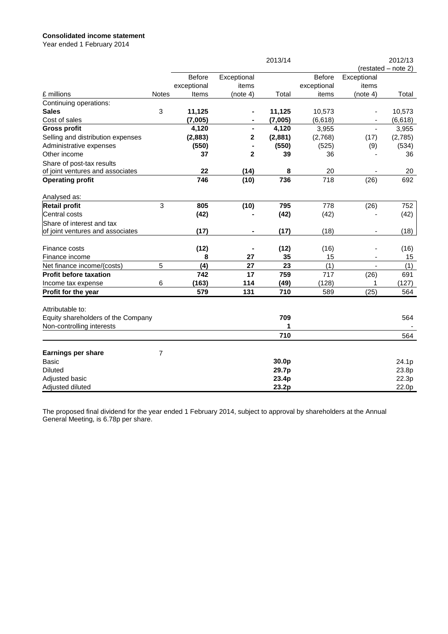#### **Consolidated income statement**

Year ended 1 February 2014

|                                    |                |               |                | 2013/14 |               |                | 2012/13             |
|------------------------------------|----------------|---------------|----------------|---------|---------------|----------------|---------------------|
|                                    |                |               |                |         |               |                | (restated – note 2) |
|                                    |                | <b>Before</b> | Exceptional    |         | <b>Before</b> | Exceptional    |                     |
|                                    |                | exceptional   | items          |         | exceptional   | items          |                     |
| £ millions                         | <b>Notes</b>   | Items         | (note 4)       | Total   | items         | (note 4)       | Total               |
| Continuing operations:             |                |               |                |         |               |                |                     |
| <b>Sales</b>                       | 3              | 11,125        |                | 11,125  | 10,573        |                | 10,573              |
| Cost of sales                      |                | (7,005)       |                | (7,005) | (6,618)       |                | (6,618)             |
| <b>Gross profit</b>                |                | 4,120         | L,             | 4,120   | 3,955         |                | 3,955               |
| Selling and distribution expenses  |                | (2,883)       | 2              | (2,881) | (2,768)       | (17)           | (2,785)             |
| Administrative expenses            |                | (550)         |                | (550)   | (525)         | (9)            | (534)               |
| Other income                       |                | 37            | $\mathbf{2}$   | 39      | 36            |                | 36                  |
| Share of post-tax results          |                |               |                |         |               |                |                     |
| of joint ventures and associates   |                | 22            | (14)           | 8       | 20            |                | 20                  |
| <b>Operating profit</b>            |                | 746           | (10)           | 736     | 718           | (26)           | 692                 |
| Analysed as:                       |                |               |                |         |               |                |                     |
| <b>Retail profit</b>               | 3              | 805           | (10)           | 795     | 778           | (26)           | 752                 |
| Central costs                      |                | (42)          |                | (42)    | (42)          |                | (42)                |
| Share of interest and tax          |                |               |                |         |               |                |                     |
| of joint ventures and associates   |                | (17)          | $\blacksquare$ | (17)    | (18)          | $\blacksquare$ | (18)                |
| Finance costs                      |                | (12)          |                | (12)    | (16)          |                | (16)                |
| Finance income                     |                | 8             | 27             | 35      | 15            |                | 15                  |
| Net finance income/(costs)         | 5              | (4)           | 27             | 23      | (1)           | $\blacksquare$ | (1)                 |
| <b>Profit before taxation</b>      |                | 742           | 17             | 759     | 717           | (26)           | 691                 |
| Income tax expense                 | 6              | (163)         | 114            | (49)    | (128)         | 1              | (127)               |
| Profit for the year                |                | 579           | 131            | 710     | 589           | (25)           | 564                 |
| Attributable to:                   |                |               |                |         |               |                |                     |
| Equity shareholders of the Company |                |               |                | 709     |               |                | 564                 |
| Non-controlling interests          |                |               |                | 1       |               |                |                     |
|                                    |                |               |                | 710     |               |                | 564                 |
| <b>Earnings per share</b>          | $\overline{7}$ |               |                |         |               |                |                     |
| <b>Basic</b>                       |                |               |                | 30.0p   |               |                | 24.1p               |
| <b>Diluted</b>                     |                |               |                | 29.7p   |               |                | 23.8p               |
| Adjusted basic                     |                |               |                | 23.4p   |               |                | 22.3p               |
| Adjusted diluted                   |                |               |                | 23.2p   |               |                | 22.0p               |

The proposed final dividend for the year ended 1 February 2014, subject to approval by shareholders at the Annual General Meeting, is 6.78p per share.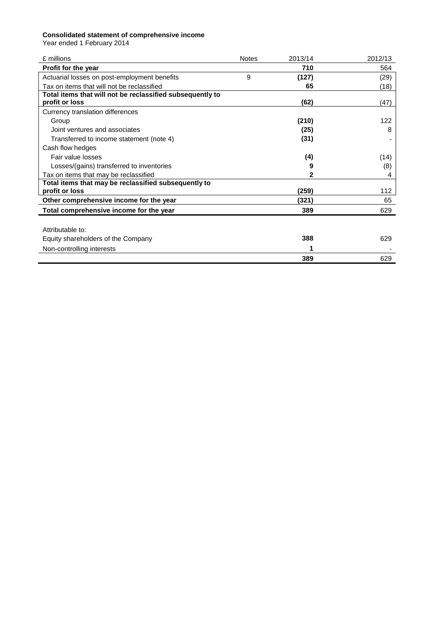#### **Consolidated statement of comprehensive income**

Year ended 1 February 2014

| £ millions                                                | <b>Notes</b> | 2013/14 | 2012/13 |
|-----------------------------------------------------------|--------------|---------|---------|
| Profit for the year                                       |              | 710     | 564     |
| Actuarial losses on post-employment benefits              | 9            | (127)   | (29)    |
| Tax on items that will not be reclassified                |              | 65      | (18)    |
| Total items that will not be reclassified subsequently to |              |         |         |
| profit or loss                                            |              | (62)    | (47)    |
| Currency translation differences                          |              |         |         |
| Group                                                     |              | (210)   | 122     |
| Joint ventures and associates                             |              | (25)    | 8       |
| Transferred to income statement (note 4)                  |              | (31)    |         |
| Cash flow hedges                                          |              |         |         |
| Fair value losses                                         |              | (4)     | (14)    |
| Losses/(gains) transferred to inventories                 |              | 9       | (8)     |
| Tax on items that may be reclassified                     |              | 2       | 4       |
| Total items that may be reclassified subsequently to      |              |         |         |
| profit or loss                                            |              | (259)   | 112     |
| Other comprehensive income for the year                   |              | (321)   | 65      |
| Total comprehensive income for the year                   |              | 389     | 629     |
|                                                           |              |         |         |
| Attributable to:                                          |              |         |         |
| Equity shareholders of the Company                        |              | 388     | 629     |
| Non-controlling interests                                 |              |         |         |
|                                                           |              | 389     | 629     |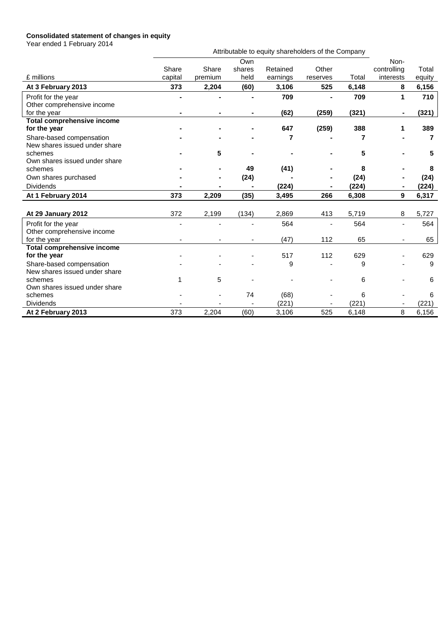#### **Consolidated statement of changes in equity**

Year ended 1 February 2014

| $\frac{1}{2}$ car crided in column $\frac{1}{2}$ corrected in $\frac{1}{2}$ | Attributable to equity shareholders of the Company |         |                          |          |          |       |             |                |
|-----------------------------------------------------------------------------|----------------------------------------------------|---------|--------------------------|----------|----------|-------|-------------|----------------|
|                                                                             |                                                    |         | Own                      |          |          |       | Non-        |                |
|                                                                             | Share                                              | Share   | shares                   | Retained | Other    |       | controlling | Total          |
| £ millions                                                                  | capital                                            | premium | held                     | earnings | reserves | Total | interests   | equity         |
| At 3 February 2013                                                          | 373                                                | 2,204   | (60)                     | 3,106    | 525      | 6,148 | 8           | 6,156          |
| Profit for the year                                                         |                                                    |         |                          | 709      |          | 709   | 1           | 710            |
| Other comprehensive income                                                  |                                                    |         |                          |          |          |       |             |                |
| for the year                                                                |                                                    |         | $\blacksquare$           | (62)     | (259)    | (321) |             | (321)          |
| <b>Total comprehensive income</b>                                           |                                                    |         |                          |          |          |       |             |                |
| for the year                                                                |                                                    |         |                          | 647      | (259)    | 388   | 1           | 389            |
| Share-based compensation                                                    |                                                    |         |                          | 7        |          | 7     |             | $\overline{7}$ |
| New shares issued under share                                               |                                                    |         |                          |          |          |       |             |                |
| schemes                                                                     |                                                    | 5       | $\blacksquare$           |          |          | 5     |             | 5              |
| Own shares issued under share                                               |                                                    |         |                          |          |          |       |             |                |
| schemes                                                                     |                                                    |         | 49                       | (41)     |          | 8     |             | 8              |
| Own shares purchased                                                        |                                                    |         | (24)                     |          |          | (24)  |             | (24)           |
| <b>Dividends</b>                                                            |                                                    |         | $\blacksquare$           | (224)    |          | (224) |             | (224)          |
| At 1 February 2014                                                          | 373                                                | 2,209   | (35)                     | 3,495    | 266      | 6,308 | 9           | 6,317          |
|                                                                             |                                                    |         |                          |          |          |       |             |                |
| At 29 January 2012                                                          | 372                                                | 2,199   | (134)                    | 2,869    | 413      | 5,719 | 8           | 5,727          |
| Profit for the year                                                         |                                                    |         |                          | 564      |          | 564   |             | 564            |
| Other comprehensive income                                                  |                                                    |         |                          |          |          |       |             |                |
| for the year                                                                |                                                    |         | $\overline{\phantom{0}}$ | (47)     | 112      | 65    |             | 65             |
| <b>Total comprehensive income</b>                                           |                                                    |         |                          |          |          |       |             |                |
| for the year                                                                |                                                    |         |                          | 517      | 112      | 629   |             | 629            |
| Share-based compensation                                                    |                                                    |         |                          | 9        |          | 9     |             | 9              |
| New shares issued under share                                               |                                                    |         |                          |          |          |       |             |                |
| schemes                                                                     |                                                    | 5       |                          |          |          | 6     |             | 6              |
| Own shares issued under share                                               |                                                    |         |                          |          |          |       |             |                |
| schemes                                                                     |                                                    |         | 74                       | (68)     |          | 6     |             | 6              |
| <b>Dividends</b>                                                            |                                                    |         |                          | (221)    |          | (221) |             | (221)          |
| At 2 February 2013                                                          | 373                                                | 2,204   | (60)                     | 3,106    | 525      | 6,148 | 8           | 6,156          |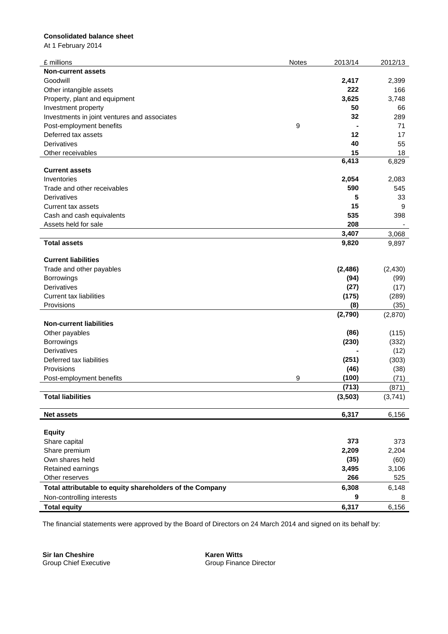#### **Consolidated balance sheet**

At 1 February 2014

| <b>Non-current assets</b><br>2,417<br>Goodwill<br>2,399<br>222<br>Other intangible assets<br>166<br>3,625<br>3,748<br>Property, plant and equipment<br>50<br>Investment property<br>66<br>32<br>Investments in joint ventures and associates<br>289<br>Post-employment benefits<br>9<br>71<br>12<br>Deferred tax assets<br>17<br>40<br><b>Derivatives</b><br>55<br>15<br>Other receivables<br>18<br>6,413<br>6,829<br><b>Current assets</b><br>2,054<br>Inventories<br>2,083<br>590<br>Trade and other receivables<br>545<br>5<br>Derivatives<br>33<br>15<br><b>Current tax assets</b><br>9<br>535<br>398<br>Cash and cash equivalents<br>208<br>Assets held for sale<br>3,407<br>3,068<br><b>Total assets</b><br>9,820<br>9,897<br><b>Current liabilities</b><br>(2, 486)<br>Trade and other payables<br>(2, 430)<br>(94)<br>Borrowings<br>(99)<br><b>Derivatives</b><br>(27)<br>(17)<br><b>Current tax liabilities</b><br>(175)<br>(289)<br>Provisions<br>(8)<br>(35)<br>(2,790)<br>(2,870)<br><b>Non-current liabilities</b><br>(86)<br>Other payables<br>(115)<br>(230)<br>Borrowings<br>(332)<br>Derivatives<br>(12)<br>Deferred tax liabilities<br>(251)<br>(303)<br>(46)<br>Provisions<br>(38)<br>(100)<br>Post-employment benefits<br>9<br>(71)<br>(713)<br>(871)<br><b>Total liabilities</b><br>(3, 503)<br>(3,741)<br>6,317<br>6,156<br><b>Net assets</b><br><b>Equity</b><br>373<br>373<br>Share capital<br>Share premium<br>2,209<br>2,204<br>Own shares held<br>(35)<br>(60)<br>3,495<br>Retained earnings<br>3,106<br>266<br>525<br>Other reserves<br>Total attributable to equity shareholders of the Company<br>6,308<br>6,148<br>Non-controlling interests<br>9<br>8 | £ millions          | <b>Notes</b> | 2013/14 | 2012/13 |
|---------------------------------------------------------------------------------------------------------------------------------------------------------------------------------------------------------------------------------------------------------------------------------------------------------------------------------------------------------------------------------------------------------------------------------------------------------------------------------------------------------------------------------------------------------------------------------------------------------------------------------------------------------------------------------------------------------------------------------------------------------------------------------------------------------------------------------------------------------------------------------------------------------------------------------------------------------------------------------------------------------------------------------------------------------------------------------------------------------------------------------------------------------------------------------------------------------------------------------------------------------------------------------------------------------------------------------------------------------------------------------------------------------------------------------------------------------------------------------------------------------------------------------------------------------------------------------------------------------------------------------------------------------------------------------------|---------------------|--------------|---------|---------|
|                                                                                                                                                                                                                                                                                                                                                                                                                                                                                                                                                                                                                                                                                                                                                                                                                                                                                                                                                                                                                                                                                                                                                                                                                                                                                                                                                                                                                                                                                                                                                                                                                                                                                       |                     |              |         |         |
|                                                                                                                                                                                                                                                                                                                                                                                                                                                                                                                                                                                                                                                                                                                                                                                                                                                                                                                                                                                                                                                                                                                                                                                                                                                                                                                                                                                                                                                                                                                                                                                                                                                                                       |                     |              |         |         |
|                                                                                                                                                                                                                                                                                                                                                                                                                                                                                                                                                                                                                                                                                                                                                                                                                                                                                                                                                                                                                                                                                                                                                                                                                                                                                                                                                                                                                                                                                                                                                                                                                                                                                       |                     |              |         |         |
|                                                                                                                                                                                                                                                                                                                                                                                                                                                                                                                                                                                                                                                                                                                                                                                                                                                                                                                                                                                                                                                                                                                                                                                                                                                                                                                                                                                                                                                                                                                                                                                                                                                                                       |                     |              |         |         |
|                                                                                                                                                                                                                                                                                                                                                                                                                                                                                                                                                                                                                                                                                                                                                                                                                                                                                                                                                                                                                                                                                                                                                                                                                                                                                                                                                                                                                                                                                                                                                                                                                                                                                       |                     |              |         |         |
|                                                                                                                                                                                                                                                                                                                                                                                                                                                                                                                                                                                                                                                                                                                                                                                                                                                                                                                                                                                                                                                                                                                                                                                                                                                                                                                                                                                                                                                                                                                                                                                                                                                                                       |                     |              |         |         |
|                                                                                                                                                                                                                                                                                                                                                                                                                                                                                                                                                                                                                                                                                                                                                                                                                                                                                                                                                                                                                                                                                                                                                                                                                                                                                                                                                                                                                                                                                                                                                                                                                                                                                       |                     |              |         |         |
|                                                                                                                                                                                                                                                                                                                                                                                                                                                                                                                                                                                                                                                                                                                                                                                                                                                                                                                                                                                                                                                                                                                                                                                                                                                                                                                                                                                                                                                                                                                                                                                                                                                                                       |                     |              |         |         |
|                                                                                                                                                                                                                                                                                                                                                                                                                                                                                                                                                                                                                                                                                                                                                                                                                                                                                                                                                                                                                                                                                                                                                                                                                                                                                                                                                                                                                                                                                                                                                                                                                                                                                       |                     |              |         |         |
|                                                                                                                                                                                                                                                                                                                                                                                                                                                                                                                                                                                                                                                                                                                                                                                                                                                                                                                                                                                                                                                                                                                                                                                                                                                                                                                                                                                                                                                                                                                                                                                                                                                                                       |                     |              |         |         |
|                                                                                                                                                                                                                                                                                                                                                                                                                                                                                                                                                                                                                                                                                                                                                                                                                                                                                                                                                                                                                                                                                                                                                                                                                                                                                                                                                                                                                                                                                                                                                                                                                                                                                       |                     |              |         |         |
|                                                                                                                                                                                                                                                                                                                                                                                                                                                                                                                                                                                                                                                                                                                                                                                                                                                                                                                                                                                                                                                                                                                                                                                                                                                                                                                                                                                                                                                                                                                                                                                                                                                                                       |                     |              |         |         |
|                                                                                                                                                                                                                                                                                                                                                                                                                                                                                                                                                                                                                                                                                                                                                                                                                                                                                                                                                                                                                                                                                                                                                                                                                                                                                                                                                                                                                                                                                                                                                                                                                                                                                       |                     |              |         |         |
|                                                                                                                                                                                                                                                                                                                                                                                                                                                                                                                                                                                                                                                                                                                                                                                                                                                                                                                                                                                                                                                                                                                                                                                                                                                                                                                                                                                                                                                                                                                                                                                                                                                                                       |                     |              |         |         |
|                                                                                                                                                                                                                                                                                                                                                                                                                                                                                                                                                                                                                                                                                                                                                                                                                                                                                                                                                                                                                                                                                                                                                                                                                                                                                                                                                                                                                                                                                                                                                                                                                                                                                       |                     |              |         |         |
|                                                                                                                                                                                                                                                                                                                                                                                                                                                                                                                                                                                                                                                                                                                                                                                                                                                                                                                                                                                                                                                                                                                                                                                                                                                                                                                                                                                                                                                                                                                                                                                                                                                                                       |                     |              |         |         |
|                                                                                                                                                                                                                                                                                                                                                                                                                                                                                                                                                                                                                                                                                                                                                                                                                                                                                                                                                                                                                                                                                                                                                                                                                                                                                                                                                                                                                                                                                                                                                                                                                                                                                       |                     |              |         |         |
|                                                                                                                                                                                                                                                                                                                                                                                                                                                                                                                                                                                                                                                                                                                                                                                                                                                                                                                                                                                                                                                                                                                                                                                                                                                                                                                                                                                                                                                                                                                                                                                                                                                                                       |                     |              |         |         |
|                                                                                                                                                                                                                                                                                                                                                                                                                                                                                                                                                                                                                                                                                                                                                                                                                                                                                                                                                                                                                                                                                                                                                                                                                                                                                                                                                                                                                                                                                                                                                                                                                                                                                       |                     |              |         |         |
|                                                                                                                                                                                                                                                                                                                                                                                                                                                                                                                                                                                                                                                                                                                                                                                                                                                                                                                                                                                                                                                                                                                                                                                                                                                                                                                                                                                                                                                                                                                                                                                                                                                                                       |                     |              |         |         |
|                                                                                                                                                                                                                                                                                                                                                                                                                                                                                                                                                                                                                                                                                                                                                                                                                                                                                                                                                                                                                                                                                                                                                                                                                                                                                                                                                                                                                                                                                                                                                                                                                                                                                       |                     |              |         |         |
|                                                                                                                                                                                                                                                                                                                                                                                                                                                                                                                                                                                                                                                                                                                                                                                                                                                                                                                                                                                                                                                                                                                                                                                                                                                                                                                                                                                                                                                                                                                                                                                                                                                                                       |                     |              |         |         |
|                                                                                                                                                                                                                                                                                                                                                                                                                                                                                                                                                                                                                                                                                                                                                                                                                                                                                                                                                                                                                                                                                                                                                                                                                                                                                                                                                                                                                                                                                                                                                                                                                                                                                       |                     |              |         |         |
|                                                                                                                                                                                                                                                                                                                                                                                                                                                                                                                                                                                                                                                                                                                                                                                                                                                                                                                                                                                                                                                                                                                                                                                                                                                                                                                                                                                                                                                                                                                                                                                                                                                                                       |                     |              |         |         |
|                                                                                                                                                                                                                                                                                                                                                                                                                                                                                                                                                                                                                                                                                                                                                                                                                                                                                                                                                                                                                                                                                                                                                                                                                                                                                                                                                                                                                                                                                                                                                                                                                                                                                       |                     |              |         |         |
|                                                                                                                                                                                                                                                                                                                                                                                                                                                                                                                                                                                                                                                                                                                                                                                                                                                                                                                                                                                                                                                                                                                                                                                                                                                                                                                                                                                                                                                                                                                                                                                                                                                                                       |                     |              |         |         |
|                                                                                                                                                                                                                                                                                                                                                                                                                                                                                                                                                                                                                                                                                                                                                                                                                                                                                                                                                                                                                                                                                                                                                                                                                                                                                                                                                                                                                                                                                                                                                                                                                                                                                       |                     |              |         |         |
|                                                                                                                                                                                                                                                                                                                                                                                                                                                                                                                                                                                                                                                                                                                                                                                                                                                                                                                                                                                                                                                                                                                                                                                                                                                                                                                                                                                                                                                                                                                                                                                                                                                                                       |                     |              |         |         |
|                                                                                                                                                                                                                                                                                                                                                                                                                                                                                                                                                                                                                                                                                                                                                                                                                                                                                                                                                                                                                                                                                                                                                                                                                                                                                                                                                                                                                                                                                                                                                                                                                                                                                       |                     |              |         |         |
|                                                                                                                                                                                                                                                                                                                                                                                                                                                                                                                                                                                                                                                                                                                                                                                                                                                                                                                                                                                                                                                                                                                                                                                                                                                                                                                                                                                                                                                                                                                                                                                                                                                                                       |                     |              |         |         |
|                                                                                                                                                                                                                                                                                                                                                                                                                                                                                                                                                                                                                                                                                                                                                                                                                                                                                                                                                                                                                                                                                                                                                                                                                                                                                                                                                                                                                                                                                                                                                                                                                                                                                       |                     |              |         |         |
|                                                                                                                                                                                                                                                                                                                                                                                                                                                                                                                                                                                                                                                                                                                                                                                                                                                                                                                                                                                                                                                                                                                                                                                                                                                                                                                                                                                                                                                                                                                                                                                                                                                                                       |                     |              |         |         |
|                                                                                                                                                                                                                                                                                                                                                                                                                                                                                                                                                                                                                                                                                                                                                                                                                                                                                                                                                                                                                                                                                                                                                                                                                                                                                                                                                                                                                                                                                                                                                                                                                                                                                       |                     |              |         |         |
|                                                                                                                                                                                                                                                                                                                                                                                                                                                                                                                                                                                                                                                                                                                                                                                                                                                                                                                                                                                                                                                                                                                                                                                                                                                                                                                                                                                                                                                                                                                                                                                                                                                                                       |                     |              |         |         |
|                                                                                                                                                                                                                                                                                                                                                                                                                                                                                                                                                                                                                                                                                                                                                                                                                                                                                                                                                                                                                                                                                                                                                                                                                                                                                                                                                                                                                                                                                                                                                                                                                                                                                       |                     |              |         |         |
|                                                                                                                                                                                                                                                                                                                                                                                                                                                                                                                                                                                                                                                                                                                                                                                                                                                                                                                                                                                                                                                                                                                                                                                                                                                                                                                                                                                                                                                                                                                                                                                                                                                                                       |                     |              |         |         |
|                                                                                                                                                                                                                                                                                                                                                                                                                                                                                                                                                                                                                                                                                                                                                                                                                                                                                                                                                                                                                                                                                                                                                                                                                                                                                                                                                                                                                                                                                                                                                                                                                                                                                       |                     |              |         |         |
|                                                                                                                                                                                                                                                                                                                                                                                                                                                                                                                                                                                                                                                                                                                                                                                                                                                                                                                                                                                                                                                                                                                                                                                                                                                                                                                                                                                                                                                                                                                                                                                                                                                                                       |                     |              |         |         |
|                                                                                                                                                                                                                                                                                                                                                                                                                                                                                                                                                                                                                                                                                                                                                                                                                                                                                                                                                                                                                                                                                                                                                                                                                                                                                                                                                                                                                                                                                                                                                                                                                                                                                       |                     |              |         |         |
|                                                                                                                                                                                                                                                                                                                                                                                                                                                                                                                                                                                                                                                                                                                                                                                                                                                                                                                                                                                                                                                                                                                                                                                                                                                                                                                                                                                                                                                                                                                                                                                                                                                                                       |                     |              |         |         |
|                                                                                                                                                                                                                                                                                                                                                                                                                                                                                                                                                                                                                                                                                                                                                                                                                                                                                                                                                                                                                                                                                                                                                                                                                                                                                                                                                                                                                                                                                                                                                                                                                                                                                       |                     |              |         |         |
|                                                                                                                                                                                                                                                                                                                                                                                                                                                                                                                                                                                                                                                                                                                                                                                                                                                                                                                                                                                                                                                                                                                                                                                                                                                                                                                                                                                                                                                                                                                                                                                                                                                                                       |                     |              |         |         |
|                                                                                                                                                                                                                                                                                                                                                                                                                                                                                                                                                                                                                                                                                                                                                                                                                                                                                                                                                                                                                                                                                                                                                                                                                                                                                                                                                                                                                                                                                                                                                                                                                                                                                       |                     |              |         |         |
|                                                                                                                                                                                                                                                                                                                                                                                                                                                                                                                                                                                                                                                                                                                                                                                                                                                                                                                                                                                                                                                                                                                                                                                                                                                                                                                                                                                                                                                                                                                                                                                                                                                                                       |                     |              |         |         |
|                                                                                                                                                                                                                                                                                                                                                                                                                                                                                                                                                                                                                                                                                                                                                                                                                                                                                                                                                                                                                                                                                                                                                                                                                                                                                                                                                                                                                                                                                                                                                                                                                                                                                       |                     |              |         |         |
|                                                                                                                                                                                                                                                                                                                                                                                                                                                                                                                                                                                                                                                                                                                                                                                                                                                                                                                                                                                                                                                                                                                                                                                                                                                                                                                                                                                                                                                                                                                                                                                                                                                                                       |                     |              |         |         |
|                                                                                                                                                                                                                                                                                                                                                                                                                                                                                                                                                                                                                                                                                                                                                                                                                                                                                                                                                                                                                                                                                                                                                                                                                                                                                                                                                                                                                                                                                                                                                                                                                                                                                       |                     |              |         |         |
|                                                                                                                                                                                                                                                                                                                                                                                                                                                                                                                                                                                                                                                                                                                                                                                                                                                                                                                                                                                                                                                                                                                                                                                                                                                                                                                                                                                                                                                                                                                                                                                                                                                                                       | <b>Total equity</b> |              | 6,317   | 6,156   |

The financial statements were approved by the Board of Directors on 24 March 2014 and signed on its behalf by:

**Sir Ian Cheshire Karen Witts**<br> **Group Chief Executive Karen Witts**<br> **Group Finance** 

Group Finance Director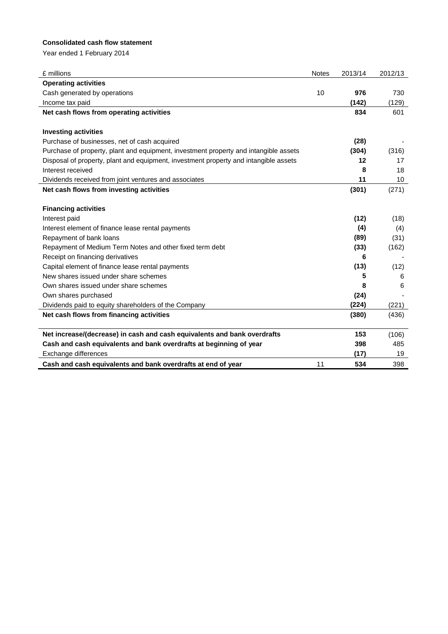#### **Consolidated cash flow statement**

Year ended 1 February 2014

| £ millions                                                                           | <b>Notes</b> | 2013/14 | 2012/13 |
|--------------------------------------------------------------------------------------|--------------|---------|---------|
| <b>Operating activities</b>                                                          |              |         |         |
| Cash generated by operations                                                         | 10           | 976     | 730     |
| Income tax paid                                                                      |              | (142)   | (129)   |
| Net cash flows from operating activities                                             |              | 834     | 601     |
|                                                                                      |              |         |         |
| <b>Investing activities</b>                                                          |              |         |         |
| Purchase of businesses, net of cash acquired                                         |              | (28)    |         |
| Purchase of property, plant and equipment, investment property and intangible assets |              | (304)   | (316)   |
| Disposal of property, plant and equipment, investment property and intangible assets |              | 12      | 17      |
| Interest received                                                                    |              | 8       | 18      |
| Dividends received from joint ventures and associates                                |              | 11      | 10      |
| Net cash flows from investing activities                                             |              | (301)   | (271)   |
|                                                                                      |              |         |         |
| <b>Financing activities</b>                                                          |              |         |         |
| Interest paid                                                                        |              | (12)    | (18)    |
| Interest element of finance lease rental payments                                    |              | (4)     | (4)     |
| Repayment of bank loans                                                              |              | (89)    | (31)    |
| Repayment of Medium Term Notes and other fixed term debt                             |              | (33)    | (162)   |
| Receipt on financing derivatives                                                     |              | 6       |         |
| Capital element of finance lease rental payments                                     |              | (13)    | (12)    |
| New shares issued under share schemes                                                |              | 5       | 6       |
| Own shares issued under share schemes                                                |              | 8       | 6       |
| Own shares purchased                                                                 |              | (24)    |         |
| Dividends paid to equity shareholders of the Company                                 |              | (224)   | (221)   |
| Net cash flows from financing activities                                             |              | (380)   | (436)   |
|                                                                                      |              |         |         |
| Net increase/(decrease) in cash and cash equivalents and bank overdrafts             |              | 153     | (106)   |
| Cash and cash equivalents and bank overdrafts at beginning of year                   |              | 398     | 485     |
| Exchange differences                                                                 |              | (17)    | 19      |
| Cash and cash equivalents and bank overdrafts at end of year                         | 11           | 534     | 398     |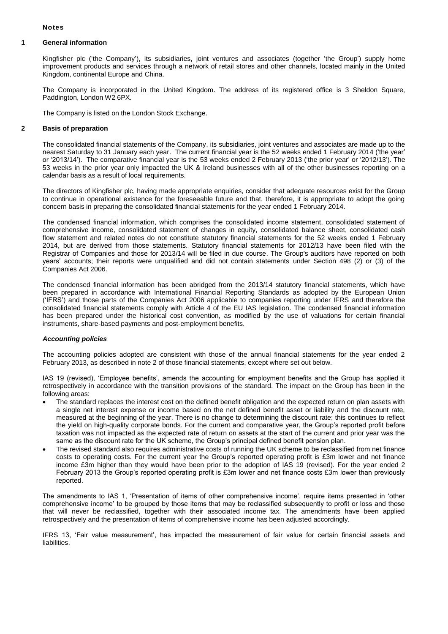#### **Notes**

#### **1 General information**

Kingfisher plc ('the Company'), its subsidiaries, joint ventures and associates (together 'the Group') supply home improvement products and services through a network of retail stores and other channels, located mainly in the United Kingdom, continental Europe and China.

The Company is incorporated in the United Kingdom. The address of its registered office is 3 Sheldon Square, Paddington, London W2 6PX.

The Company is listed on the London Stock Exchange.

#### **2 Basis of preparation**

The consolidated financial statements of the Company, its subsidiaries, joint ventures and associates are made up to the nearest Saturday to 31 January each year. The current financial year is the 52 weeks ended 1 February 2014 ('the year' or '2013/14'). The comparative financial year is the 53 weeks ended 2 February 2013 ('the prior year' or '2012/13'). The 53 weeks in the prior year only impacted the UK & Ireland businesses with all of the other businesses reporting on a calendar basis as a result of local requirements.

The directors of Kingfisher plc, having made appropriate enquiries, consider that adequate resources exist for the Group to continue in operational existence for the foreseeable future and that, therefore, it is appropriate to adopt the going concern basis in preparing the consolidated financial statements for the year ended 1 February 2014.

The condensed financial information, which comprises the consolidated income statement, consolidated statement of comprehensive income, consolidated statement of changes in equity, consolidated balance sheet, consolidated cash flow statement and related notes do not constitute statutory financial statements for the 52 weeks ended 1 February 2014, but are derived from those statements. Statutory financial statements for 2012/13 have been filed with the Registrar of Companies and those for 2013/14 will be filed in due course. The Group's auditors have reported on both years' accounts; their reports were unqualified and did not contain statements under Section 498 (2) or (3) of the Companies Act 2006.

The condensed financial information has been abridged from the 2013/14 statutory financial statements, which have been prepared in accordance with International Financial Reporting Standards as adopted by the European Union ('IFRS') and those parts of the Companies Act 2006 applicable to companies reporting under IFRS and therefore the consolidated financial statements comply with Article 4 of the EU IAS legislation. The condensed financial information has been prepared under the historical cost convention, as modified by the use of valuations for certain financial instruments, share-based payments and post-employment benefits.

#### *Accounting policies*

The accounting policies adopted are consistent with those of the annual financial statements for the year ended 2 February 2013, as described in note 2 of those financial statements, except where set out below.

IAS 19 (revised), 'Employee benefits', amends the accounting for employment benefits and the Group has applied it retrospectively in accordance with the transition provisions of the standard. The impact on the Group has been in the following areas:

- The standard replaces the interest cost on the defined benefit obligation and the expected return on plan assets with a single net interest expense or income based on the net defined benefit asset or liability and the discount rate, measured at the beginning of the year. There is no change to determining the discount rate; this continues to reflect the yield on high-quality corporate bonds. For the current and comparative year, the Group's reported profit before taxation was not impacted as the expected rate of return on assets at the start of the current and prior year was the same as the discount rate for the UK scheme, the Group's principal defined benefit pension plan.
- The revised standard also requires administrative costs of running the UK scheme to be reclassified from net finance costs to operating costs. For the current year the Group's reported operating profit is £3m lower and net finance income £3m higher than they would have been prior to the adoption of IAS 19 (revised). For the year ended 2 February 2013 the Group's reported operating profit is £3m lower and net finance costs £3m lower than previously reported.

The amendments to IAS 1, 'Presentation of items of other comprehensive income', require items presented in 'other comprehensive income' to be grouped by those items that may be reclassified subsequently to profit or loss and those that will never be reclassified, together with their associated income tax. The amendments have been applied retrospectively and the presentation of items of comprehensive income has been adjusted accordingly.

IFRS 13, 'Fair value measurement', has impacted the measurement of fair value for certain financial assets and **liabilities**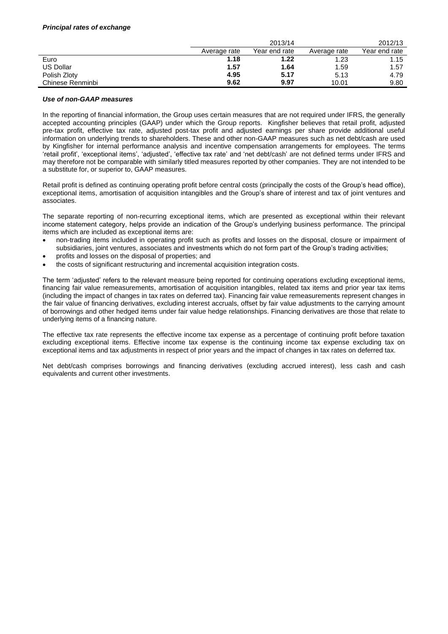#### *Principal rates of exchange*

|                  |              | 2013/14       |              | 2012/13       |
|------------------|--------------|---------------|--------------|---------------|
|                  | Average rate | Year end rate | Average rate | Year end rate |
| Euro             | 1.18         | 1.22          | 1.23         | 1.15          |
| <b>US Dollar</b> | 1.57         | 1.64          | 1.59         | 1.57          |
| Polish Zloty     | 4.95         | 5.17          | 5.13         | 4.79          |
| Chinese Renminbi | 9.62         | 9.97          | 10.01        | 9.80          |

#### *Use of non-GAAP measures*

In the reporting of financial information, the Group uses certain measures that are not required under IFRS, the generally accepted accounting principles (GAAP) under which the Group reports. Kingfisher believes that retail profit, adjusted pre-tax profit, effective tax rate, adjusted post-tax profit and adjusted earnings per share provide additional useful information on underlying trends to shareholders. These and other non-GAAP measures such as net debt/cash are used by Kingfisher for internal performance analysis and incentive compensation arrangements for employees. The terms 'retail profit', 'exceptional items', 'adjusted', 'effective tax rate' and 'net debt/cash' are not defined terms under IFRS and may therefore not be comparable with similarly titled measures reported by other companies. They are not intended to be a substitute for, or superior to, GAAP measures.

Retail profit is defined as continuing operating profit before central costs (principally the costs of the Group's head office), exceptional items, amortisation of acquisition intangibles and the Group's share of interest and tax of joint ventures and associates.

The separate reporting of non-recurring exceptional items, which are presented as exceptional within their relevant income statement category, helps provide an indication of the Group's underlying business performance. The principal items which are included as exceptional items are:

- non-trading items included in operating profit such as profits and losses on the disposal, closure or impairment of subsidiaries, joint ventures, associates and investments which do not form part of the Group's trading activities;
- profits and losses on the disposal of properties; and
- the costs of significant restructuring and incremental acquisition integration costs.

The term 'adjusted' refers to the relevant measure being reported for continuing operations excluding exceptional items, financing fair value remeasurements, amortisation of acquisition intangibles, related tax items and prior year tax items (including the impact of changes in tax rates on deferred tax). Financing fair value remeasurements represent changes in the fair value of financing derivatives, excluding interest accruals, offset by fair value adjustments to the carrying amount of borrowings and other hedged items under fair value hedge relationships. Financing derivatives are those that relate to underlying items of a financing nature.

The effective tax rate represents the effective income tax expense as a percentage of continuing profit before taxation excluding exceptional items. Effective income tax expense is the continuing income tax expense excluding tax on exceptional items and tax adjustments in respect of prior years and the impact of changes in tax rates on deferred tax.

Net debt/cash comprises borrowings and financing derivatives (excluding accrued interest), less cash and cash equivalents and current other investments.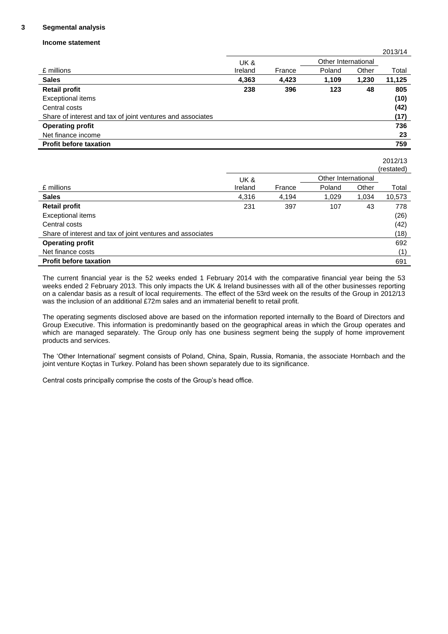#### **3 Segmental analysis**

#### **Income statement**

|        |        |       | 2013/14             |
|--------|--------|-------|---------------------|
|        |        |       |                     |
| France | Poland | Other | Total               |
| 4,423  | 1,109  | 1,230 | 11,125              |
| 396    | 123    | 48    | 805                 |
|        |        |       | (10)                |
|        |        |       | (42)                |
|        |        |       | (17)                |
|        |        |       | 736                 |
|        |        |       | 23                  |
|        |        |       | 759                 |
|        |        |       | Other International |

2012/13

|                                                            |         |        |                     |       | (restated) |
|------------------------------------------------------------|---------|--------|---------------------|-------|------------|
|                                                            | UK &    |        | Other International |       |            |
| £ millions                                                 | Ireland | France | Poland              | Other | Total      |
| <b>Sales</b>                                               | 4,316   | 4,194  | 1,029               | 1,034 | 10,573     |
| <b>Retail profit</b>                                       | 231     | 397    | 107                 | 43    | 778        |
| Exceptional items                                          |         |        |                     |       | (26)       |
| Central costs                                              |         |        |                     |       | (42)       |
| Share of interest and tax of joint ventures and associates |         |        |                     |       | (18)       |
| <b>Operating profit</b>                                    |         |        |                     |       | 692        |
| Net finance costs                                          |         |        |                     |       | (1)        |
| <b>Profit before taxation</b>                              |         |        |                     |       | 691        |

The current financial year is the 52 weeks ended 1 February 2014 with the comparative financial year being the 53 weeks ended 2 February 2013. This only impacts the UK & Ireland businesses with all of the other businesses reporting on a calendar basis as a result of local requirements. The effect of the 53rd week on the results of the Group in 2012/13 was the inclusion of an additional £72m sales and an immaterial benefit to retail profit.

The operating segments disclosed above are based on the information reported internally to the Board of Directors and Group Executive. This information is predominantly based on the geographical areas in which the Group operates and which are managed separately. The Group only has one business segment being the supply of home improvement products and services.

The 'Other International' segment consists of Poland, China, Spain, Russia, Romania, the associate Hornbach and the joint venture Koçtas in Turkey. Poland has been shown separately due to its significance.

Central costs principally comprise the costs of the Group's head office.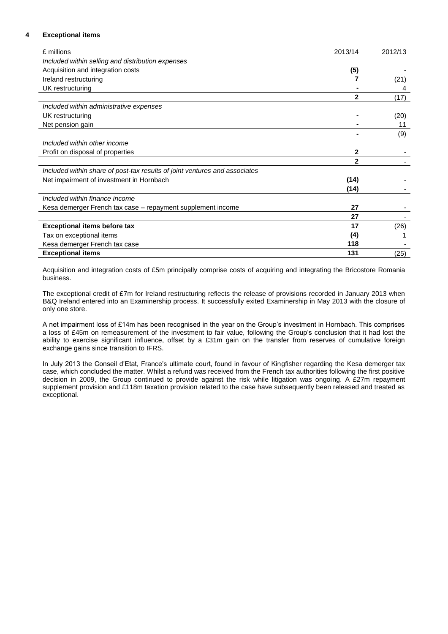#### **4 Exceptional items**

| £ millions                                                                 | 2013/14 | 2012/13 |
|----------------------------------------------------------------------------|---------|---------|
| Included within selling and distribution expenses                          |         |         |
| Acquisition and integration costs                                          | (5)     |         |
| Ireland restructuring                                                      |         | (21)    |
| UK restructuring                                                           |         | 4       |
|                                                                            | 2       | (17)    |
| Included within administrative expenses                                    |         |         |
| UK restructuring                                                           |         | (20)    |
| Net pension gain                                                           |         | 11      |
|                                                                            |         | (9)     |
| Included within other income                                               |         |         |
| Profit on disposal of properties                                           | 2       |         |
|                                                                            | 2       |         |
| Included within share of post-tax results of joint ventures and associates |         |         |
| Net impairment of investment in Hornbach                                   | (14)    |         |
|                                                                            | (14)    |         |
| Included within finance income                                             |         |         |
| Kesa demerger French tax case – repayment supplement income                | 27      |         |
|                                                                            | 27      |         |
| <b>Exceptional items before tax</b>                                        | 17      | (26)    |
| Tax on exceptional items                                                   | (4)     |         |
| Kesa demerger French tax case                                              | 118     |         |
| <b>Exceptional items</b>                                                   | 131     | (25)    |

Acquisition and integration costs of £5m principally comprise costs of acquiring and integrating the Bricostore Romania business.

The exceptional credit of £7m for Ireland restructuring reflects the release of provisions recorded in January 2013 when B&Q Ireland entered into an Examinership process. It successfully exited Examinership in May 2013 with the closure of only one store.

A net impairment loss of £14m has been recognised in the year on the Group's investment in Hornbach. This comprises a loss of £45m on remeasurement of the investment to fair value, following the Group's conclusion that it had lost the ability to exercise significant influence, offset by a £31m gain on the transfer from reserves of cumulative foreign exchange gains since transition to IFRS.

In July 2013 the Conseil d'Etat, France's ultimate court, found in favour of Kingfisher regarding the Kesa demerger tax case, which concluded the matter. Whilst a refund was received from the French tax authorities following the first positive decision in 2009, the Group continued to provide against the risk while litigation was ongoing. A £27m repayment supplement provision and £118m taxation provision related to the case have subsequently been released and treated as exceptional.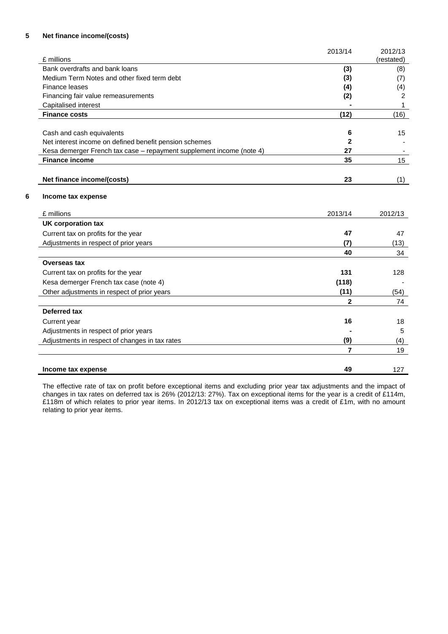#### **5 Net finance income/(costs)**

| £ millions                                                           | 2013/14        | 2012/13<br>(restated) |
|----------------------------------------------------------------------|----------------|-----------------------|
| Bank overdrafts and bank loans                                       | (3)            | (8)                   |
| Medium Term Notes and other fixed term debt                          | (3)            | (7)                   |
| Finance leases                                                       | (4)            | (4)                   |
| Financing fair value remeasurements                                  | (2)            | $\overline{2}$        |
| Capitalised interest                                                 |                | 1                     |
| <b>Finance costs</b>                                                 | (12)           | (16)                  |
| Cash and cash equivalents                                            | 6              | 15                    |
| Net interest income on defined benefit pension schemes               | $\mathbf{2}$   |                       |
| Kesa demerger French tax case - repayment supplement income (note 4) | 27             |                       |
| <b>Finance income</b>                                                | 35             | 15 <sub>1</sub>       |
| Net finance income/(costs)                                           | 23             | (1)                   |
| Income tax expense                                                   |                |                       |
| £ millions                                                           | 2013/14        | 2012/13               |
| <b>UK corporation tax</b>                                            |                |                       |
| Current tax on profits for the year                                  | 47             | 47                    |
| Adjustments in respect of prior years                                | (7)            | (13)                  |
|                                                                      | 40             | 34                    |
| Overseas tax                                                         |                |                       |
| Current tax on profits for the year                                  | 131            | 128                   |
| Kesa demerger French tax case (note 4)                               | (118)          |                       |
| Other adjustments in respect of prior years                          | (11)           | (54)                  |
|                                                                      | $\mathbf{2}$   | 74                    |
| Deferred tax                                                         |                |                       |
| Current year                                                         | 16             | 18                    |
| Adjustments in respect of prior years                                |                | 5                     |
| Adjustments in respect of changes in tax rates                       | (9)            | (4)                   |
|                                                                      | $\overline{7}$ | 19                    |
| Income tax expense                                                   | 49             | 127                   |

The effective rate of tax on profit before exceptional items and excluding prior year tax adjustments and the impact of changes in tax rates on deferred tax is 26% (2012/13: 27%). Tax on exceptional items for the year is a credit of £114m, £118m of which relates to prior year items. In 2012/13 tax on exceptional items was a credit of £1m, with no amount relating to prior year items.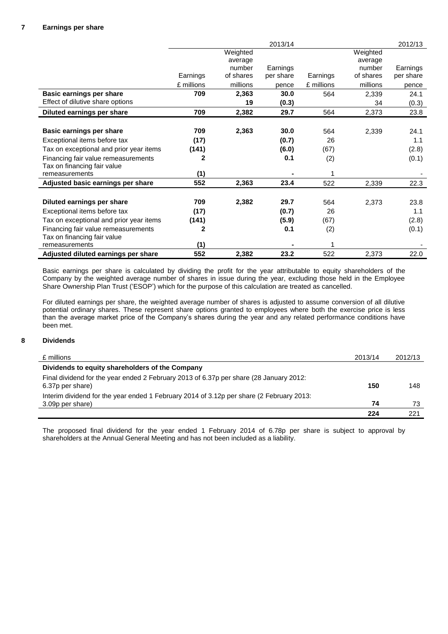|                                         |            |           | 2013/14   |            |           | 2012/13   |
|-----------------------------------------|------------|-----------|-----------|------------|-----------|-----------|
|                                         |            | Weighted  |           |            | Weighted  |           |
|                                         |            | average   |           |            | average   |           |
|                                         |            | number    | Earnings  |            | number    | Earnings  |
|                                         | Earnings   | of shares | per share | Earnings   | of shares | per share |
|                                         | £ millions | millions  | pence     | £ millions | millions  | pence     |
| Basic earnings per share                | 709        | 2,363     | 30.0      | 564        | 2,339     | 24.1      |
| Effect of dilutive share options        |            | 19        | (0.3)     |            | 34        | (0.3)     |
| Diluted earnings per share              | 709        | 2,382     | 29.7      | 564        | 2,373     | 23.8      |
|                                         |            |           |           |            |           |           |
| <b>Basic earnings per share</b>         | 709        | 2,363     | 30.0      | 564        | 2,339     | 24.1      |
| Exceptional items before tax            | (17)       |           | (0.7)     | 26         |           | 1.1       |
| Tax on exceptional and prior year items | (141)      |           | (6.0)     | (67)       |           | (2.8)     |
| Financing fair value remeasurements     | 2          |           | 0.1       | (2)        |           | (0.1)     |
| Tax on financing fair value             |            |           |           |            |           |           |
| remeasurements                          | (1)        |           |           |            |           |           |
| Adjusted basic earnings per share       | 552        | 2,363     | 23.4      | 522        | 2,339     | 22.3      |
|                                         |            |           |           |            |           |           |
| Diluted earnings per share              | 709        | 2,382     | 29.7      | 564        | 2,373     | 23.8      |
| Exceptional items before tax            | (17)       |           | (0.7)     | 26         |           | 1.1       |
| Tax on exceptional and prior year items | (141)      |           | (5.9)     | (67)       |           | (2.8)     |
| Financing fair value remeasurements     | 2          |           | 0.1       | (2)        |           | (0.1)     |
| Tax on financing fair value             |            |           |           |            |           |           |
| remeasurements                          | (1)        |           |           |            |           |           |
| Adjusted diluted earnings per share     | 552        | 2,382     | 23.2      | 522        | 2,373     | 22.0      |

Basic earnings per share is calculated by dividing the profit for the year attributable to equity shareholders of the Company by the weighted average number of shares in issue during the year, excluding those held in the Employee Share Ownership Plan Trust ('ESOP') which for the purpose of this calculation are treated as cancelled.

For diluted earnings per share, the weighted average number of shares is adjusted to assume conversion of all dilutive potential ordinary shares. These represent share options granted to employees where both the exercise price is less than the average market price of the Company's shares during the year and any related performance conditions have been met.

#### **8 Dividends**

| £ millions                                                                                                 | 2013/14 | 2012/13 |
|------------------------------------------------------------------------------------------------------------|---------|---------|
| Dividends to equity shareholders of the Company                                                            |         |         |
| Final dividend for the year ended 2 February 2013 of 6.37p per share (28 January 2012:<br>6.37p per share) | 150     | 148     |
| Interim dividend for the year ended 1 February 2014 of 3.12p per share (2 February 2013:                   |         |         |
| 3.09p per share)                                                                                           | 74      |         |
|                                                                                                            | 224     | 221     |

The proposed final dividend for the year ended 1 February 2014 of 6.78p per share is subject to approval by shareholders at the Annual General Meeting and has not been included as a liability.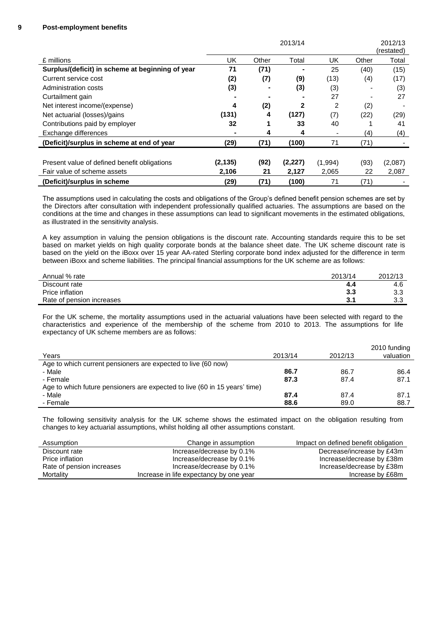|                                                  |          |       | 2013/14 |         |       | 2012/13<br>(restated) |
|--------------------------------------------------|----------|-------|---------|---------|-------|-----------------------|
| £ millions                                       | UK       | Other | Total   | UK      | Other | Total                 |
| Surplus/(deficit) in scheme at beginning of year | 71       | (71)  |         | 25      | (40)  | (15)                  |
| Current service cost                             | (2)      | (7)   | (9)     | (13)    | (4)   | (17)                  |
| Administration costs                             | (3)      |       | (3)     | (3)     |       | (3)                   |
| Curtailment gain                                 |          |       |         | 27      |       | 27                    |
| Net interest income/(expense)                    | 4        | (2)   | 2       | 2       | (2)   |                       |
| Net actuarial (losses)/gains                     | (131)    | 4     | (127)   | (7)     | (22)  | (29)                  |
| Contributions paid by employer                   | 32       |       | 33      | 40      |       | 41                    |
| Exchange differences                             |          | 4     | 4       | -       | (4)   | (4)                   |
| (Deficit)/surplus in scheme at end of year       | (29)     | (71)  | (100)   | 71      | (71)  |                       |
|                                                  |          |       |         |         |       |                       |
| Present value of defined benefit obligations     | (2, 135) | (92)  | (2,227) | (1,994) | (93)  | (2,087)               |
| Fair value of scheme assets                      | 2,106    | 21    | 2,127   | 2,065   | 22    | 2,087                 |
| (Deficit)/surplus in scheme                      | (29)     | (71)  | (100)   | 71      | (71)  |                       |

The assumptions used in calculating the costs and obligations of the Group's defined benefit pension schemes are set by the Directors after consultation with independent professionally qualified actuaries. The assumptions are based on the conditions at the time and changes in these assumptions can lead to significant movements in the estimated obligations, as illustrated in the sensitivity analysis.

A key assumption in valuing the pension obligations is the discount rate. Accounting standards require this to be set based on market yields on high quality corporate bonds at the balance sheet date. The UK scheme discount rate is based on the yield on the iBoxx over 15 year AA-rated Sterling corporate bond index adjusted for the difference in term between iBoxx and scheme liabilities. The principal financial assumptions for the UK scheme are as follows:

| Annual % rate             | 2013/14 | 2012/13     |
|---------------------------|---------|-------------|
| Discount rate             | 4.4     | 4.6         |
| Price inflation           | 3.3     | າ າ<br>ບ.ບ  |
| Rate of pension increases | v.      | າ າ<br>ن. ب |

For the UK scheme, the mortality assumptions used in the actuarial valuations have been selected with regard to the characteristics and experience of the membership of the scheme from 2010 to 2013. The assumptions for life expectancy of UK scheme members are as follows:

|                                                                            |         |         | 2010 funding |
|----------------------------------------------------------------------------|---------|---------|--------------|
| Years                                                                      | 2013/14 | 2012/13 | valuation    |
| Age to which current pensioners are expected to live (60 now)              |         |         |              |
| - Male                                                                     | 86.7    | 86.7    | 86.4         |
| - Female                                                                   | 87.3    | 87.4    | 87.1         |
| Age to which future pensioners are expected to live (60 in 15 years' time) |         |         |              |
| - Male                                                                     | 87.4    | 87.4    | 87.1         |
| - Female                                                                   | 88.6    | 89.0    | 88.7         |

The following sensitivity analysis for the UK scheme shows the estimated impact on the obligation resulting from changes to key actuarial assumptions, whilst holding all other assumptions constant.

| Assumption                | Change in assumption                    | Impact on defined benefit obligation |
|---------------------------|-----------------------------------------|--------------------------------------|
| Discount rate             | Increase/decrease by 0.1%               | Decrease/increase by £43m            |
| Price inflation           | Increase/decrease by 0.1%               | Increase/decrease by £38m            |
| Rate of pension increases | Increase/decrease by 0.1%               | Increase/decrease by £38m            |
| Mortalitv                 | Increase in life expectancy by one year | Increase by £68m                     |